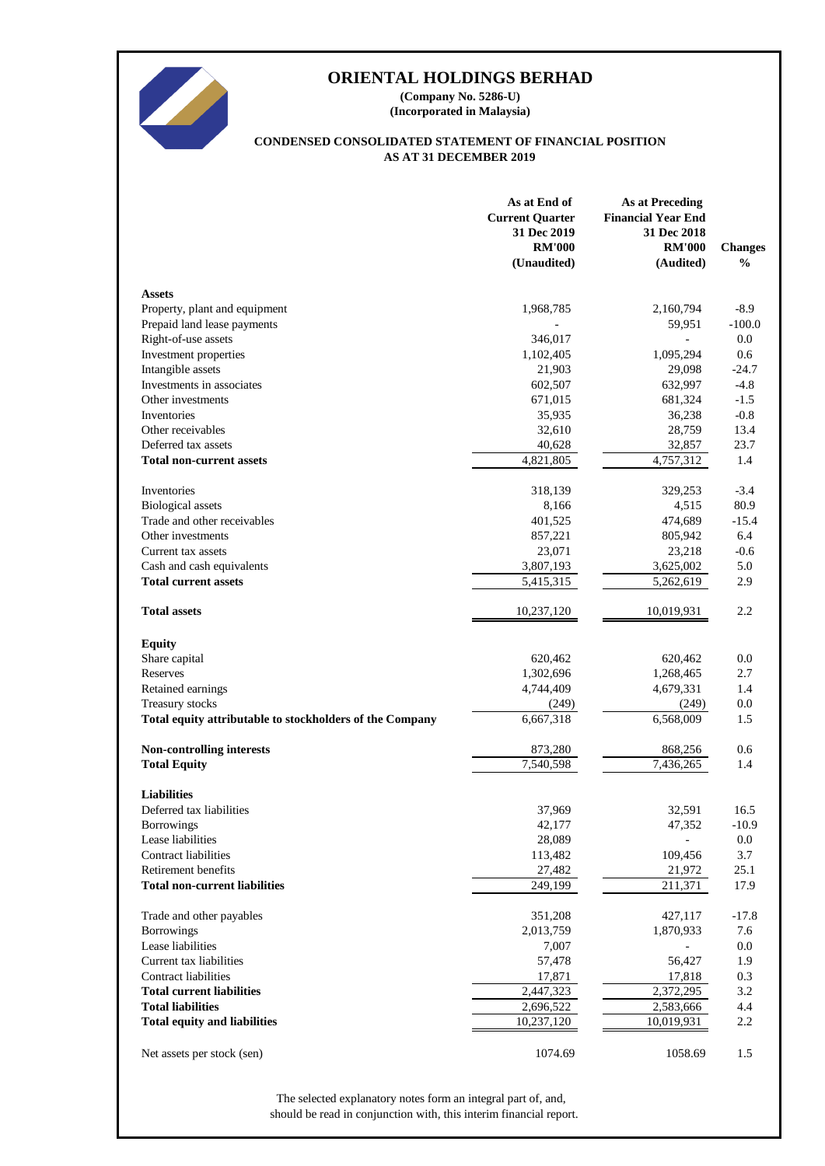

**(Incorporated in Malaysia) (Company No. 5286-U)**

#### **AS AT 31 DECEMBER 2019 CONDENSED CONSOLIDATED STATEMENT OF FINANCIAL POSITION**

|                                                          | As at End of<br><b>Current Quarter</b><br>31 Dec 2019<br><b>RM'000</b><br>(Unaudited) | <b>As at Preceding</b><br><b>Financial Year End</b><br>31 Dec 2018<br><b>RM'000</b><br>(Audited) | <b>Changes</b><br>$\%$ |
|----------------------------------------------------------|---------------------------------------------------------------------------------------|--------------------------------------------------------------------------------------------------|------------------------|
| <b>Assets</b>                                            |                                                                                       |                                                                                                  |                        |
| Property, plant and equipment                            | 1,968,785                                                                             | 2,160,794                                                                                        | $-8.9$                 |
| Prepaid land lease payments                              |                                                                                       | 59,951                                                                                           | $-100.0$               |
| Right-of-use assets                                      | 346,017                                                                               |                                                                                                  | 0.0                    |
| Investment properties                                    | 1,102,405                                                                             | 1,095,294                                                                                        | 0.6                    |
| Intangible assets                                        | 21,903                                                                                | 29,098                                                                                           | $-24.7$                |
| Investments in associates                                | 602,507                                                                               | 632,997                                                                                          | $-4.8$                 |
| Other investments                                        | 671,015                                                                               | 681,324                                                                                          | $-1.5$                 |
| Inventories                                              | 35,935                                                                                | 36,238                                                                                           | $-0.8$                 |
| Other receivables                                        | 32,610                                                                                | 28,759                                                                                           | 13.4                   |
| Deferred tax assets                                      | 40,628                                                                                | 32,857                                                                                           | 23.7                   |
| <b>Total non-current assets</b>                          | 4,821,805                                                                             | 4,757,312                                                                                        | 1.4                    |
| Inventories                                              | 318,139                                                                               | 329,253                                                                                          | $-3.4$                 |
| <b>Biological</b> assets                                 | 8,166                                                                                 | 4,515                                                                                            | 80.9                   |
| Trade and other receivables                              | 401,525                                                                               | 474,689                                                                                          | $-15.4$                |
| Other investments                                        | 857,221                                                                               | 805,942                                                                                          | 6.4                    |
| Current tax assets                                       | 23,071                                                                                | 23,218                                                                                           | $-0.6$                 |
| Cash and cash equivalents                                | 3,807,193                                                                             | 3,625,002                                                                                        | 5.0                    |
| <b>Total current assets</b>                              | 5,415,315                                                                             | 5,262,619                                                                                        | 2.9                    |
| <b>Total assets</b>                                      | 10,237,120                                                                            | 10,019,931                                                                                       | 2.2                    |
| <b>Equity</b>                                            |                                                                                       |                                                                                                  |                        |
| Share capital                                            | 620,462                                                                               | 620,462                                                                                          | 0.0                    |
| Reserves                                                 | 1,302,696                                                                             | 1,268,465                                                                                        | 2.7                    |
| Retained earnings                                        | 4,744,409                                                                             | 4,679,331                                                                                        | 1.4                    |
| Treasury stocks                                          | (249)                                                                                 | (249)                                                                                            | 0.0                    |
| Total equity attributable to stockholders of the Company | 6,667,318                                                                             | 6,568,009                                                                                        | 1.5                    |
| Non-controlling interests                                | 873,280                                                                               | 868,256                                                                                          | 0.6                    |
| <b>Total Equity</b>                                      | 7,540,598                                                                             | 7,436,265                                                                                        | 1.4                    |
| <b>Liabilities</b>                                       |                                                                                       |                                                                                                  |                        |
| Deferred tax liabilities                                 | 37,969                                                                                | 32,591                                                                                           | 16.5                   |
| <b>Borrowings</b>                                        | 42,177                                                                                | 47,352                                                                                           | $-10.9$                |
| Lease liabilities                                        | 28,089                                                                                |                                                                                                  | 0.0                    |
| <b>Contract liabilities</b>                              | 113,482                                                                               | 109,456                                                                                          | 3.7                    |
| Retirement benefits                                      | 27,482                                                                                | 21,972                                                                                           | 25.1                   |
| <b>Total non-current liabilities</b>                     | 249,199                                                                               | 211,371                                                                                          | 17.9                   |
| Trade and other payables                                 | 351,208                                                                               | 427,117                                                                                          | $-17.8$                |
| <b>Borrowings</b>                                        | 2,013,759                                                                             | 1,870,933                                                                                        | 7.6                    |
| Lease liabilities                                        | 7,007                                                                                 |                                                                                                  | 0.0                    |
| Current tax liabilities                                  | 57,478                                                                                | 56,427                                                                                           | 1.9                    |
| <b>Contract liabilities</b>                              | 17,871                                                                                | 17,818                                                                                           | 0.3                    |
| <b>Total current liabilities</b>                         | 2,447,323                                                                             | 2,372,295                                                                                        | 3.2                    |
| <b>Total liabilities</b>                                 | 2,696,522                                                                             | 2,583,666                                                                                        | 4.4                    |
| <b>Total equity and liabilities</b>                      | 10,237,120                                                                            | 10,019,931                                                                                       | 2.2                    |
| Net assets per stock (sen)                               | 1074.69                                                                               | 1058.69                                                                                          | 1.5                    |

should be read in conjunction with, this interim financial report. The selected explanatory notes form an integral part of, and,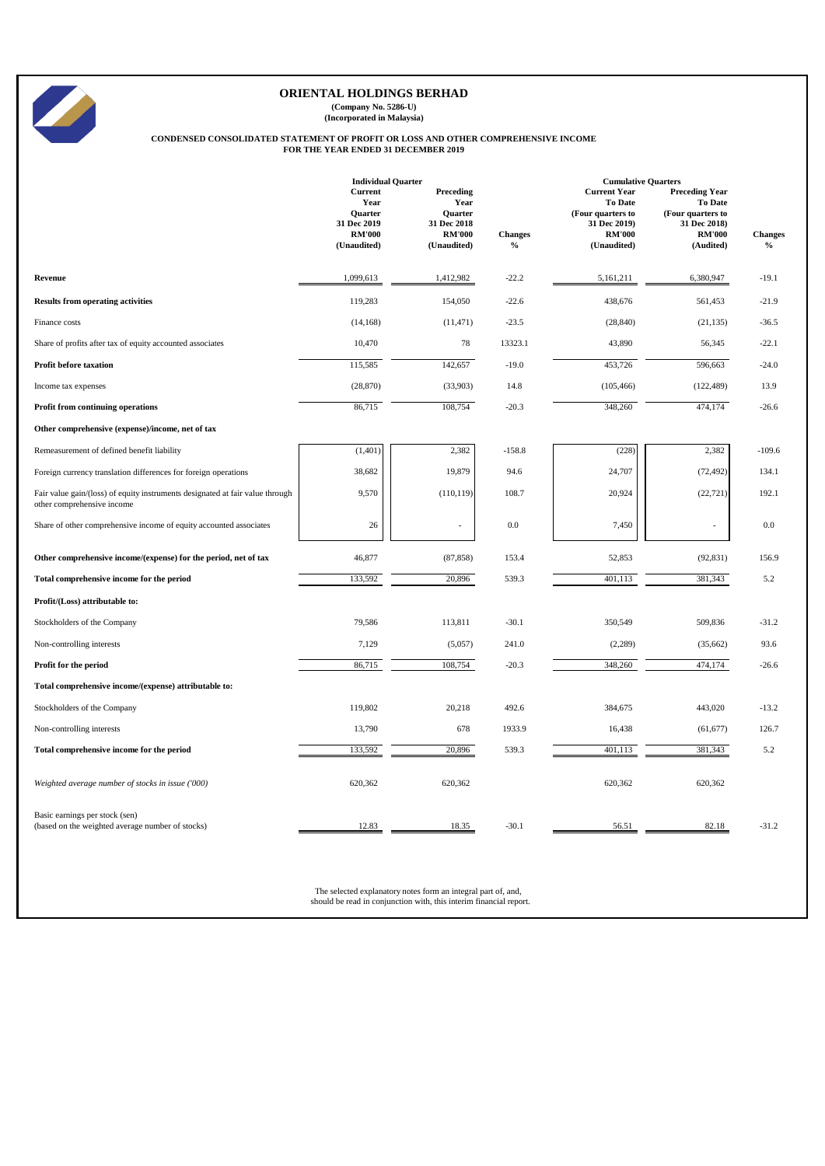**(Company No. 5286-U) (Incorporated in Malaysia)**

# **CONDENSED CONSOLIDATED STATEMENT OF PROFIT OR LOSS AND OTHER COMPREHENSIVE INCOME FOR THE YEAR ENDED 31 DECEMBER 2019**

|                                                                                                             | <b>Individual Quarter</b>                                                        |                                                                                    |                                                           | <b>Cumulative Quarters</b>                                                                                 |                                                                                                            |                        |
|-------------------------------------------------------------------------------------------------------------|----------------------------------------------------------------------------------|------------------------------------------------------------------------------------|-----------------------------------------------------------|------------------------------------------------------------------------------------------------------------|------------------------------------------------------------------------------------------------------------|------------------------|
|                                                                                                             | Current<br>Year<br><b>Ouarter</b><br>31 Dec 2019<br><b>RM'000</b><br>(Unaudited) | Preceding<br>Year<br><b>Ouarter</b><br>31 Dec 2018<br><b>RM'000</b><br>(Unaudited) | <b>Changes</b><br>$\boldsymbol{\theta}/_{\boldsymbol{0}}$ | <b>Current Year</b><br><b>To Date</b><br>(Four quarters to<br>31 Dec 2019)<br><b>RM'000</b><br>(Unaudited) | <b>Preceding Year</b><br><b>To Date</b><br>(Four quarters to<br>31 Dec 2018)<br><b>RM'000</b><br>(Audited) | <b>Changes</b><br>$\%$ |
| Revenue                                                                                                     | 1,099,613                                                                        | 1,412,982                                                                          | $-22.2$                                                   | 5,161,211                                                                                                  | 6,380,947                                                                                                  | $-19.1$                |
| <b>Results from operating activities</b>                                                                    | 119,283                                                                          | 154,050                                                                            | $-22.6$                                                   | 438,676                                                                                                    | 561,453                                                                                                    | $-21.9$                |
| Finance costs                                                                                               | (14, 168)                                                                        | (11, 471)                                                                          | $-23.5$                                                   | (28, 840)                                                                                                  | (21, 135)                                                                                                  | $-36.5$                |
| Share of profits after tax of equity accounted associates                                                   | 10,470                                                                           | 78                                                                                 | 13323.1                                                   | 43,890                                                                                                     | 56,345                                                                                                     | $-22.1$                |
| <b>Profit before taxation</b>                                                                               | 115,585                                                                          | 142,657                                                                            | $-19.0$                                                   | 453,726                                                                                                    | 596,663                                                                                                    | $-24.0$                |
| Income tax expenses                                                                                         | (28, 870)                                                                        | (33,903)                                                                           | 14.8                                                      | (105, 466)                                                                                                 | (122, 489)                                                                                                 | 13.9                   |
| Profit from continuing operations                                                                           | 86,715                                                                           | 108,754                                                                            | $-20.3$                                                   | 348,260                                                                                                    | 474,174                                                                                                    | $-26.6$                |
| Other comprehensive (expense)/income, net of tax                                                            |                                                                                  |                                                                                    |                                                           |                                                                                                            |                                                                                                            |                        |
| Remeasurement of defined benefit liability                                                                  | (1, 401)                                                                         | 2,382                                                                              | $-158.8$                                                  | (228)                                                                                                      | 2,382                                                                                                      | $-109.6$               |
| Foreign currency translation differences for foreign operations                                             | 38,682                                                                           | 19,879                                                                             | 94.6                                                      | 24,707                                                                                                     | (72, 492)                                                                                                  | 134.1                  |
| Fair value gain/(loss) of equity instruments designated at fair value through<br>other comprehensive income | 9,570                                                                            | (110, 119)                                                                         | 108.7                                                     | 20,924                                                                                                     | (22, 721)                                                                                                  | 192.1                  |
| Share of other comprehensive income of equity accounted associates                                          | 26                                                                               | ٠                                                                                  | 0.0                                                       | 7,450                                                                                                      | $\overline{\phantom{a}}$                                                                                   | 0.0                    |
| Other comprehensive income/(expense) for the period, net of tax                                             | 46,877                                                                           | (87, 858)                                                                          | 153.4                                                     | 52,853                                                                                                     | (92, 831)                                                                                                  | 156.9                  |
| Total comprehensive income for the period                                                                   | 133,592                                                                          | 20,896                                                                             | 539.3                                                     | $\overline{401,113}$                                                                                       | 381,343                                                                                                    | 5.2                    |
| Profit/(Loss) attributable to:                                                                              |                                                                                  |                                                                                    |                                                           |                                                                                                            |                                                                                                            |                        |
| Stockholders of the Company                                                                                 | 79,586                                                                           | 113,811                                                                            | $-30.1$                                                   | 350,549                                                                                                    | 509,836                                                                                                    | $-31.2$                |
| Non-controlling interests                                                                                   | 7,129                                                                            | (5,057)                                                                            | 241.0                                                     | (2,289)                                                                                                    | (35,662)                                                                                                   | 93.6                   |
| Profit for the period                                                                                       | 86,715                                                                           | 108,754                                                                            | $-20.3$                                                   | 348,260                                                                                                    | 474,174                                                                                                    | $-26.6$                |
| Total comprehensive income/(expense) attributable to:                                                       |                                                                                  |                                                                                    |                                                           |                                                                                                            |                                                                                                            |                        |
| Stockholders of the Company                                                                                 | 119,802                                                                          | 20,218                                                                             | 492.6                                                     | 384,675                                                                                                    | 443,020                                                                                                    | $-13.2$                |
| Non-controlling interests                                                                                   | 13,790                                                                           | 678                                                                                | 1933.9                                                    | 16,438                                                                                                     | (61, 677)                                                                                                  | 126.7                  |
| Total comprehensive income for the period                                                                   | 133,592                                                                          | 20,896                                                                             | 539.3                                                     | 401,113                                                                                                    | 381,343                                                                                                    | 5.2                    |
| Weighted average number of stocks in issue ('000)                                                           | 620,362                                                                          | 620,362                                                                            |                                                           | 620,362                                                                                                    | 620,362                                                                                                    |                        |
| Basic earnings per stock (sen)<br>(based on the weighted average number of stocks)                          | 12.83                                                                            | 18.35                                                                              | $-30.1$                                                   | 56.51                                                                                                      | 82.18                                                                                                      | $-31.2$                |

The selected explanatory notes form an integral part of, and, should be read in conjunction with, this interim financial report.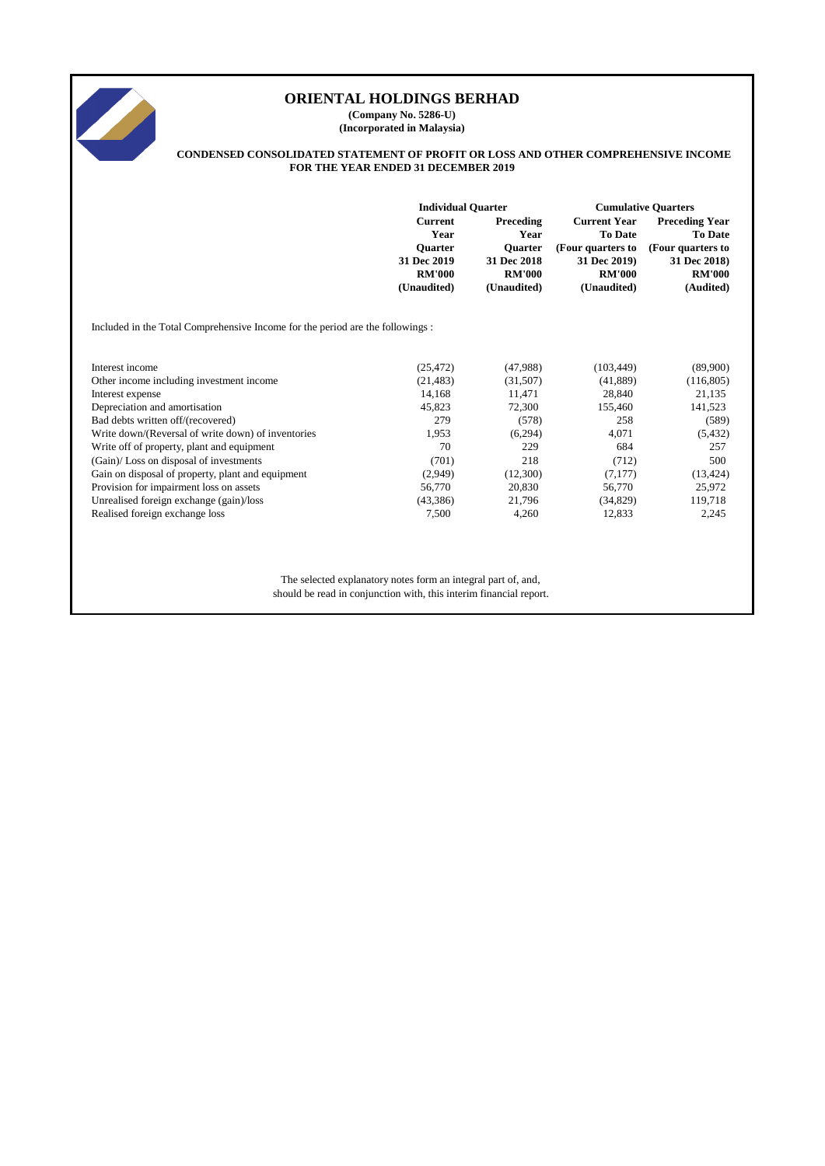

**(Company No. 5286-U) (Incorporated in Malaysia)**

#### **CONDENSED CONSOLIDATED STATEMENT OF PROFIT OR LOSS AND OTHER COMPREHENSIVE INCOME FOR THE YEAR ENDED 31 DECEMBER 2019**

|                                                                               | <b>Individual Quarter</b>                      |                                                | <b>Cumulative Quarters</b>                         |                                                    |  |
|-------------------------------------------------------------------------------|------------------------------------------------|------------------------------------------------|----------------------------------------------------|----------------------------------------------------|--|
|                                                                               | <b>Current</b><br>Preceding<br>Year<br>Year    |                                                | <b>Current Year</b><br><b>To Date</b>              | <b>Preceding Year</b><br><b>To Date</b>            |  |
|                                                                               | <b>Ouarter</b><br>31 Dec 2019<br><b>RM'000</b> | <b>Ouarter</b><br>31 Dec 2018<br><b>RM'000</b> | (Four quarters to<br>31 Dec 2019)<br><b>RM'000</b> | (Four quarters to<br>31 Dec 2018)<br><b>RM'000</b> |  |
|                                                                               | (Unaudited)                                    | (Unaudited)                                    | (Unaudited)                                        | (Audited)                                          |  |
| Included in the Total Comprehensive Income for the period are the followings: |                                                |                                                |                                                    |                                                    |  |
| Interest income                                                               | (25, 472)                                      | (47,988)                                       | (103, 449)                                         | (89,900)                                           |  |
| Other income including investment income                                      | (21, 483)                                      | (31,507)                                       | (41,889)                                           | (116, 805)                                         |  |
| Interest expense                                                              | 14,168                                         | 11,471                                         | 28,840                                             | 21,135                                             |  |
| Depreciation and amortisation                                                 | 45,823                                         | 72,300                                         | 155,460                                            | 141,523                                            |  |
| Bad debts written off/(recovered)                                             | 279                                            | (578)                                          | 258                                                | (589)                                              |  |
| Write down/(Reversal of write down) of inventories                            | 1,953                                          | (6,294)                                        | 4,071                                              | (5, 432)                                           |  |
| Write off of property, plant and equipment                                    | 70                                             | 229                                            | 684                                                | 257                                                |  |
| (Gain)/Loss on disposal of investments                                        | (701)                                          | 218                                            | (712)                                              | 500                                                |  |
| Gain on disposal of property, plant and equipment                             | (2,949)                                        | (12,300)                                       | (7,177)                                            | (13, 424)                                          |  |
| Provision for impairment loss on assets                                       | 56,770                                         | 20,830                                         | 56,770                                             | 25,972                                             |  |
| Unrealised foreign exchange (gain)/loss                                       | (43, 386)                                      | 21,796                                         | (34, 829)                                          | 119,718                                            |  |
| Realised foreign exchange loss                                                | 7,500                                          | 4,260                                          | 12,833                                             | 2,245                                              |  |
|                                                                               |                                                |                                                |                                                    |                                                    |  |

The selected explanatory notes form an integral part of, and, should be read in conjunction with, this interim financial report.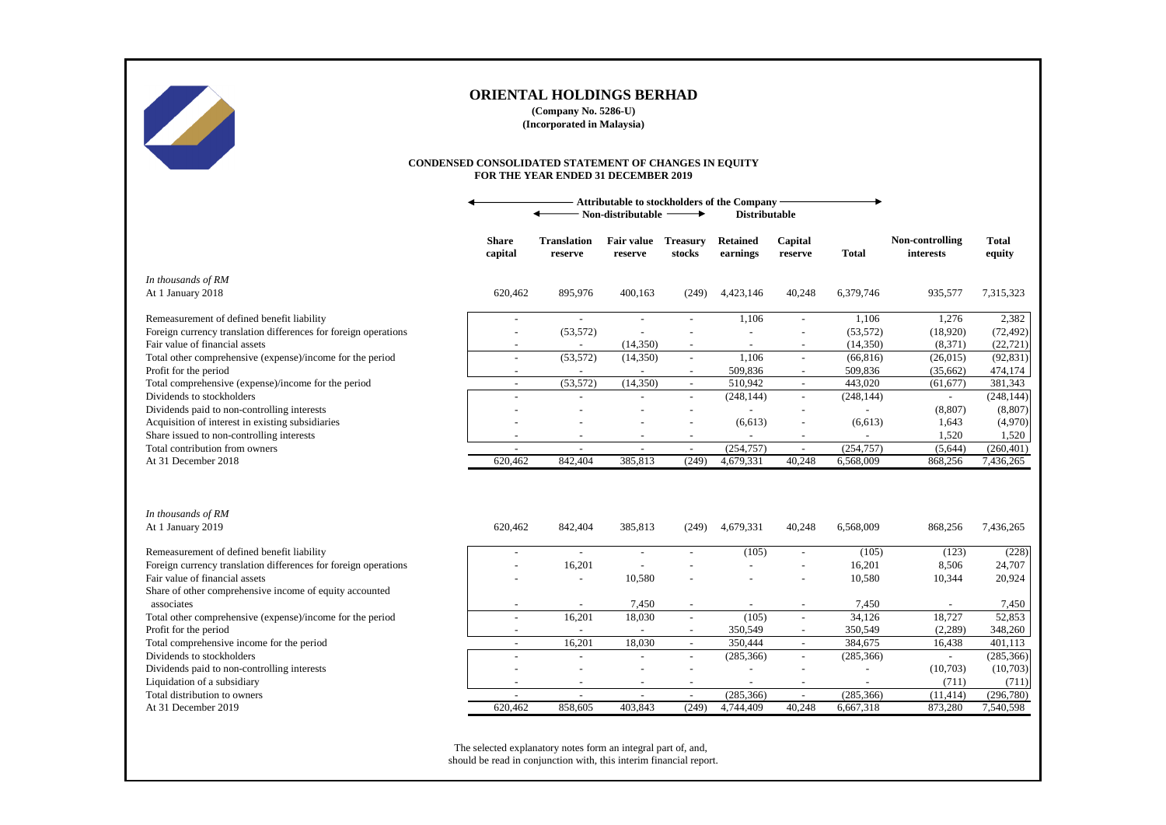

**(Company No. 5286-U) (Incorporated in Malaysia)**

#### **CONDENSED CONSOLIDATED STATEMENT OF CHANGES IN EQUITY FOR THE YEAR ENDED 31 DECEMBER 2019**

|                                                                                           |                         | <b>Attributable to stockholders of the Company</b><br>Non-distributable<br>→<br><b>Distributable</b> |                          |                           |                          |                                    |                         |                                     |                         |
|-------------------------------------------------------------------------------------------|-------------------------|------------------------------------------------------------------------------------------------------|--------------------------|---------------------------|--------------------------|------------------------------------|-------------------------|-------------------------------------|-------------------------|
|                                                                                           | <b>Share</b><br>capital | <b>Translation</b><br>reserve                                                                        | Fair value<br>reserve    | <b>Treasury</b><br>stocks | Retained<br>earnings     | Capital<br>reserve                 | Total                   | Non-controlling<br><i>interests</i> | <b>Total</b><br>equity  |
| In thousands of RM                                                                        |                         |                                                                                                      |                          |                           |                          |                                    |                         |                                     |                         |
| At 1 January 2018                                                                         | 620,462                 | 895,976                                                                                              | 400,163                  | (249)                     | 4,423,146                | 40,248                             | 6,379,746               | 935,577                             | 7,315,323               |
| Remeasurement of defined benefit liability                                                | $\blacksquare$          | $\sim$                                                                                               |                          |                           | 1,106                    | $\overline{\phantom{a}}$           | 1,106                   | 1,276                               | 2,382                   |
| Foreign currency translation differences for foreign operations                           |                         | (53, 572)                                                                                            |                          |                           |                          |                                    | (53, 572)               | (18,920)                            | (72, 492)               |
| Fair value of financial assets                                                            |                         |                                                                                                      | (14,350)                 | $\overline{\phantom{a}}$  |                          | $\overline{a}$                     | (14,350)                | (8,371)                             | (22, 721)               |
| Total other comprehensive (expense)/income for the period                                 | $\sim$                  | (53, 572)                                                                                            | (14,350)                 | $\sim$                    | 1,106                    | $\sim$                             | (66, 816)               | (26, 015)                           | (92, 831)               |
| Profit for the period                                                                     |                         | $\sim$                                                                                               |                          |                           | 509,836                  |                                    | 509,836                 | (35,662)                            | 474,174                 |
| Total comprehensive (expense)/income for the period                                       | $\overline{a}$          | (53, 572)                                                                                            | (14,350)                 | $\sim$                    | 510,942                  | $\mathbb{L}$                       | 443,020                 | (61, 677)                           | 381,343                 |
| Dividends to stockholders                                                                 | $\overline{a}$          | $\overline{a}$                                                                                       |                          |                           | (248, 144)               | $\overline{\phantom{a}}$           | (248, 144)              | $\blacksquare$                      | (248, 144)              |
| Dividends paid to non-controlling interests                                               |                         |                                                                                                      |                          |                           |                          |                                    |                         | (8,807)                             | (8, 807)                |
| Acquisition of interest in existing subsidiaries                                          |                         |                                                                                                      |                          |                           | (6,613)                  |                                    | (6,613)                 | 1,643                               | (4,970)                 |
| Share issued to non-controlling interests                                                 |                         | $\overline{\phantom{a}}$                                                                             | $\blacksquare$           | $\overline{\phantom{a}}$  | $\overline{\phantom{a}}$ | $\overline{\phantom{a}}$           | $\overline{a}$          | 1,520                               | 1,520                   |
| Total contribution from owners<br>At 31 December 2018                                     | 620.462                 | 842,404                                                                                              | 385,813                  | $\sim$<br>(249)           | (254, 757)<br>4,679,331  | $\overline{\phantom{a}}$<br>40.248 | (254, 757)<br>6,568,009 | (5,644)<br>868,256                  | (260, 401)<br>7,436,265 |
|                                                                                           |                         |                                                                                                      |                          |                           |                          |                                    |                         |                                     |                         |
| In thousands of RM                                                                        |                         |                                                                                                      |                          |                           |                          |                                    |                         |                                     |                         |
| At 1 January 2019                                                                         | 620,462                 | 842,404                                                                                              | 385,813                  | (249)                     | 4,679,331                | 40,248                             | 6,568,009               | 868,256                             | 7,436,265               |
| Remeasurement of defined benefit liability                                                | $\overline{a}$          | $\sim$                                                                                               | $\overline{\phantom{a}}$ |                           | (105)                    | $\sim$                             | (105)                   | (123)                               | (228)                   |
| Foreign currency translation differences for foreign operations                           |                         | 16,201                                                                                               |                          |                           |                          |                                    | 16,201                  | 8,506                               | 24,707                  |
| Fair value of financial assets<br>Share of other comprehensive income of equity accounted |                         | $\overline{a}$                                                                                       | 10,580                   |                           |                          |                                    | 10,580                  | 10,344                              | 20,924                  |
| associates                                                                                |                         |                                                                                                      | 7,450                    | $\sim$                    |                          |                                    | 7,450                   |                                     | 7,450                   |
| Total other comprehensive (expense)/income for the period                                 |                         | 16,201                                                                                               | 18,030                   | $\sim$                    | (105)                    | $\overline{a}$                     | 34,126                  | 18,727                              | 52,853                  |
| Profit for the period                                                                     | $\sim$                  |                                                                                                      |                          |                           | 350,549                  |                                    | 350,549                 | (2,289)                             | 348,260                 |
| Total comprehensive income for the period                                                 | $\overline{a}$          | 16,201                                                                                               | 18,030                   | $\sim$                    | 350,444                  | $\mathcal{L}$                      | 384,675                 | 16,438                              | 401,113                 |
| Dividends to stockholders                                                                 |                         | $\overline{a}$                                                                                       |                          | $\sim$                    | (285, 366)               | $\sim$                             | (285, 366)              | $\blacksquare$                      | (285, 366)              |
| Dividends paid to non-controlling interests                                               |                         |                                                                                                      |                          |                           |                          |                                    |                         | (10,703)                            | (10,703)                |
| Liquidation of a subsidiary                                                               |                         | $\overline{a}$                                                                                       | $\sim$                   | $\overline{\phantom{a}}$  |                          |                                    |                         | (711)                               | (711)                   |
| Total distribution to owners                                                              |                         |                                                                                                      |                          |                           | (285, 366)               |                                    | (285, 366)              | (11, 414)                           | (296,780)               |
| At 31 December 2019                                                                       | 620.462                 | 858,605                                                                                              | 403.843                  | (249)                     | 4,744,409                | 40.248                             | 6,667,318               | 873,280                             | 7,540,598               |

The selected explanatory notes form an integral part of, and, should be read in conjunction with, this interim financial report.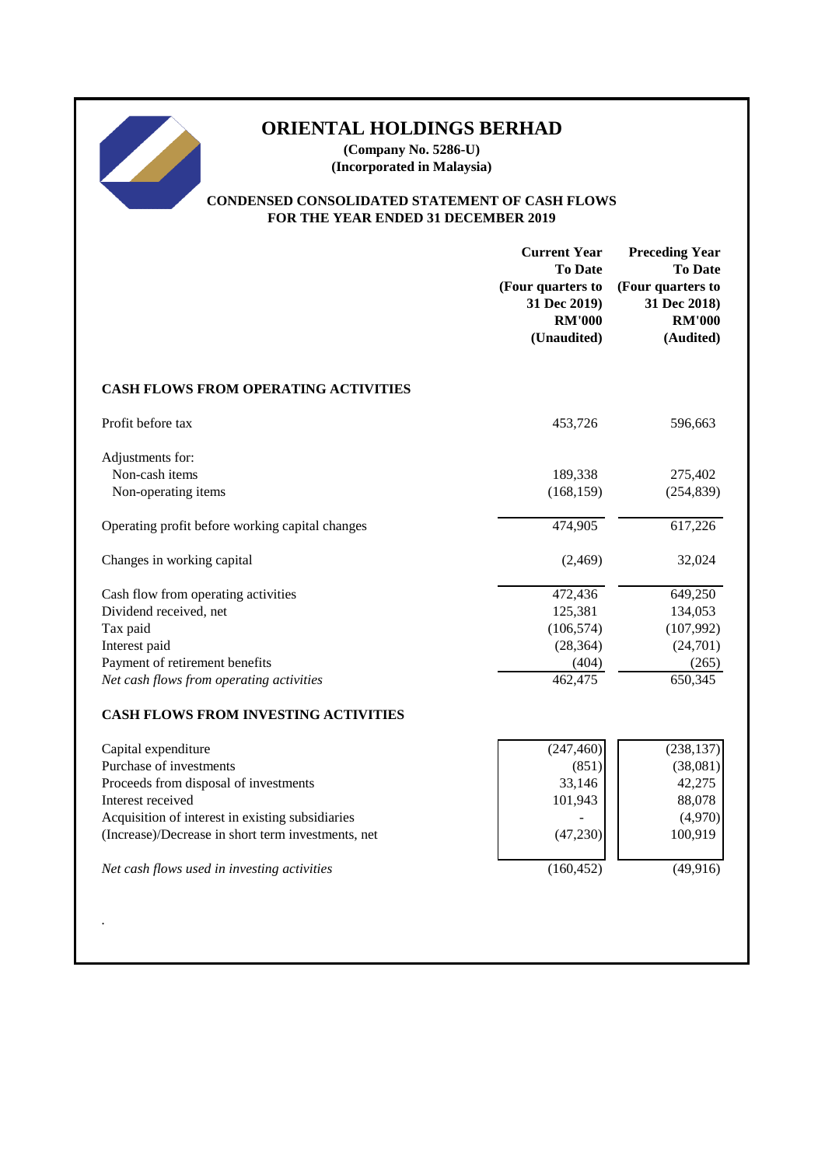**(Company No. 5286-U) (Incorporated in Malaysia)**

## **CONDENSED CONSOLIDATED STATEMENT OF CASH FLOWS FOR THE YEAR ENDED 31 DECEMBER 2019**

|                                                                                                                                                                                                                                                                       | <b>Current Year</b><br><b>To Date</b><br>(Four quarters to<br>31 Dec 2019)<br><b>RM'000</b><br>(Unaudited) | <b>Preceding Year</b><br><b>To Date</b><br>(Four quarters to<br>31 Dec 2018)<br><b>RM'000</b><br>(Audited) |
|-----------------------------------------------------------------------------------------------------------------------------------------------------------------------------------------------------------------------------------------------------------------------|------------------------------------------------------------------------------------------------------------|------------------------------------------------------------------------------------------------------------|
| <b>CASH FLOWS FROM OPERATING ACTIVITIES</b>                                                                                                                                                                                                                           |                                                                                                            |                                                                                                            |
| Profit before tax                                                                                                                                                                                                                                                     | 453,726                                                                                                    | 596,663                                                                                                    |
| Adjustments for:<br>Non-cash items<br>Non-operating items                                                                                                                                                                                                             | 189,338<br>(168, 159)                                                                                      | 275,402<br>(254, 839)                                                                                      |
| Operating profit before working capital changes                                                                                                                                                                                                                       | 474,905                                                                                                    | 617,226                                                                                                    |
| Changes in working capital                                                                                                                                                                                                                                            | (2, 469)                                                                                                   | 32,024                                                                                                     |
| Cash flow from operating activities<br>Dividend received, net<br>Tax paid<br>Interest paid<br>Payment of retirement benefits<br>Net cash flows from operating activities                                                                                              | 472,436<br>125,381<br>(106, 574)<br>(28, 364)<br>(404)<br>462,475                                          | 649,250<br>134,053<br>(107, 992)<br>(24,701)<br>(265)<br>650,345                                           |
| <b>CASH FLOWS FROM INVESTING ACTIVITIES</b>                                                                                                                                                                                                                           |                                                                                                            |                                                                                                            |
| Capital expenditure<br>Purchase of investments<br>Proceeds from disposal of investments<br>Interest received<br>Acquisition of interest in existing subsidiaries<br>(Increase)/Decrease in short term investments, net<br>Net cash flows used in investing activities | (247, 460)<br>(851)<br>33,146<br>101,943<br>(47, 230)<br>(160, 452)                                        | (238, 137)<br>(38,081)<br>42,275<br>88,078<br>(4,970)<br>100,919<br>(49, 916)                              |
|                                                                                                                                                                                                                                                                       |                                                                                                            |                                                                                                            |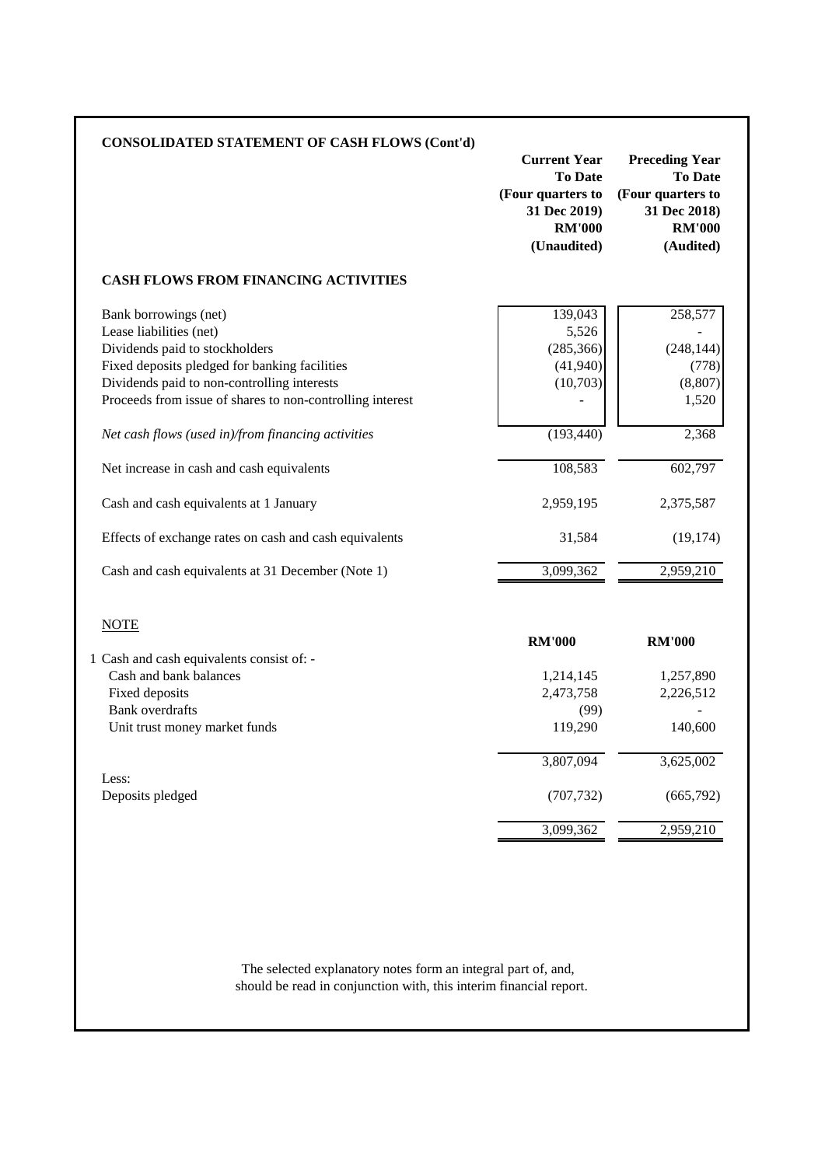| <b>CONSOLIDATED STATEMENT OF CASH FLOWS (Cont'd)</b>                                                     | <b>Current Year</b><br><b>To Date</b><br>(Four quarters to<br>31 Dec 2019)<br><b>RM'000</b><br>(Unaudited) | <b>Preceding Year</b><br><b>To Date</b><br>(Four quarters to<br>31 Dec 2018)<br><b>RM'000</b><br>(Audited) |
|----------------------------------------------------------------------------------------------------------|------------------------------------------------------------------------------------------------------------|------------------------------------------------------------------------------------------------------------|
| <b>CASH FLOWS FROM FINANCING ACTIVITIES</b>                                                              |                                                                                                            |                                                                                                            |
| Bank borrowings (net)<br>Lease liabilities (net)                                                         | 139,043<br>5,526                                                                                           | 258,577                                                                                                    |
| Dividends paid to stockholders<br>Fixed deposits pledged for banking facilities                          | (285, 366)<br>(41,940)                                                                                     | (248, 144)<br>(778)                                                                                        |
| Dividends paid to non-controlling interests<br>Proceeds from issue of shares to non-controlling interest | (10,703)                                                                                                   | (8, 807)<br>1,520                                                                                          |
| Net cash flows (used in)/from financing activities                                                       | (193, 440)                                                                                                 | 2,368                                                                                                      |
| Net increase in cash and cash equivalents                                                                | 108,583                                                                                                    | 602,797                                                                                                    |
| Cash and cash equivalents at 1 January                                                                   | 2,959,195                                                                                                  | 2,375,587                                                                                                  |
| Effects of exchange rates on cash and cash equivalents                                                   | 31,584                                                                                                     | (19, 174)                                                                                                  |
| Cash and cash equivalents at 31 December (Note 1)                                                        | 3,099,362                                                                                                  | 2,959,210                                                                                                  |
| <b>NOTE</b>                                                                                              |                                                                                                            |                                                                                                            |
|                                                                                                          | <b>RM'000</b>                                                                                              | <b>RM'000</b>                                                                                              |
| 1 Cash and cash equivalents consist of: -<br>Cash and bank balances                                      | 1,214,145                                                                                                  | 1,257,890                                                                                                  |
| Fixed deposits<br><b>Bank</b> overdrafts                                                                 | 2,473,758<br>(99)                                                                                          | 2,226,512                                                                                                  |
| Unit trust money market funds                                                                            | 119,290                                                                                                    | 140,600                                                                                                    |
|                                                                                                          | 3,807,094                                                                                                  | 3,625,002                                                                                                  |
| Less:<br>Deposits pledged                                                                                | (707, 732)                                                                                                 | (665,792)                                                                                                  |
|                                                                                                          | 3,099,362                                                                                                  | 2,959,210                                                                                                  |

should be read in conjunction with, this interim financial report. The selected explanatory notes form an integral part of, and,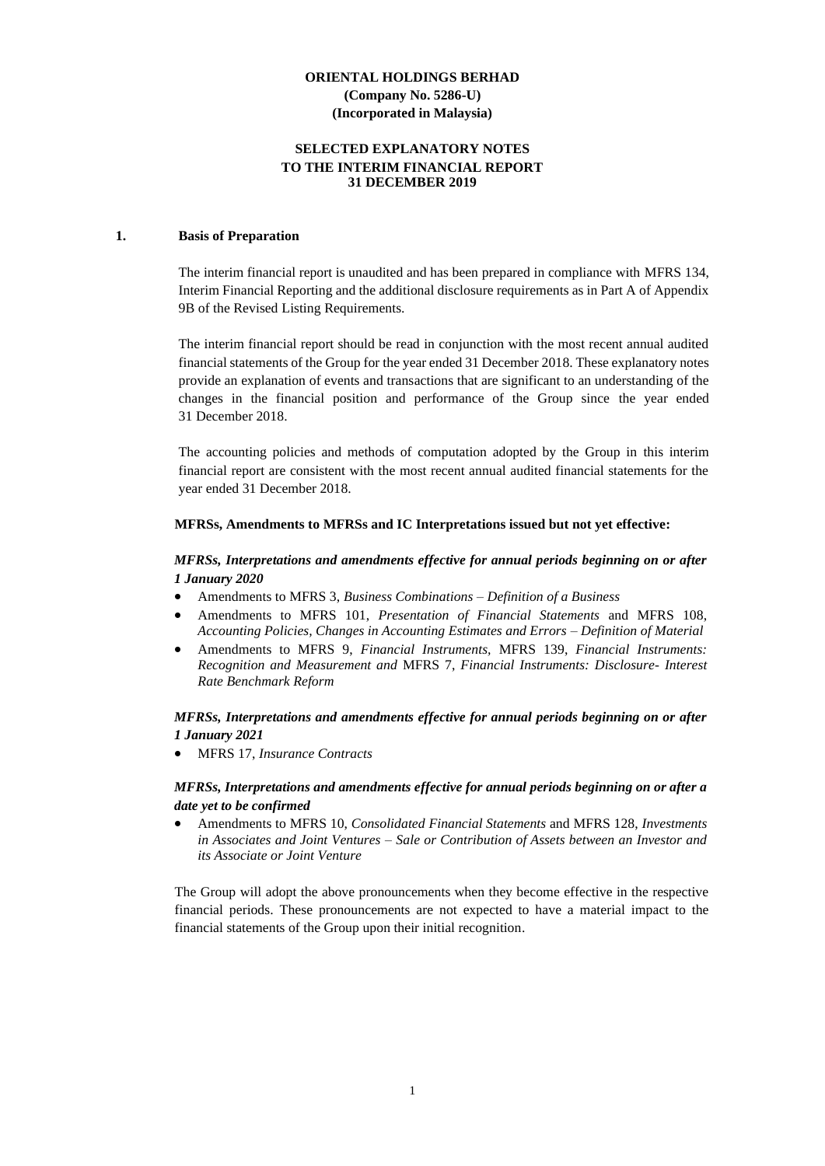## **SELECTED EXPLANATORY NOTES TO THE INTERIM FINANCIAL REPORT 31 DECEMBER 2019**

#### **1. Basis of Preparation**

The interim financial report is unaudited and has been prepared in compliance with MFRS 134, Interim Financial Reporting and the additional disclosure requirements as in Part A of Appendix 9B of the Revised Listing Requirements.

The interim financial report should be read in conjunction with the most recent annual audited financial statements of the Group for the year ended 31 December 2018. These explanatory notes provide an explanation of events and transactions that are significant to an understanding of the changes in the financial position and performance of the Group since the year ended 31 December 2018.

The accounting policies and methods of computation adopted by the Group in this interim financial report are consistent with the most recent annual audited financial statements for the year ended 31 December 2018.

#### **MFRSs, Amendments to MFRSs and IC Interpretations issued but not yet effective:**

## *MFRSs, Interpretations and amendments effective for annual periods beginning on or after 1 January 2020*

- Amendments to MFRS 3, *Business Combinations – Definition of a Business*
- Amendments to MFRS 101, *Presentation of Financial Statements* and MFRS 108, *Accounting Policies, Changes in Accounting Estimates and Errors – Definition of Material*
- Amendments to MFRS 9, *Financial Instruments,* MFRS 139, *Financial Instruments: Recognition and Measurement and* MFRS 7, *Financial Instruments: Disclosure- Interest Rate Benchmark Reform*

#### *MFRSs, Interpretations and amendments effective for annual periods beginning on or after 1 January 2021*

• MFRS 17, *Insurance Contracts*

#### *MFRSs, Interpretations and amendments effective for annual periods beginning on or after a date yet to be confirmed*

• Amendments to MFRS 10, *Consolidated Financial Statements* and MFRS 128, *Investments in Associates and Joint Ventures – Sale or Contribution of Assets between an Investor and its Associate or Joint Venture*

The Group will adopt the above pronouncements when they become effective in the respective financial periods. These pronouncements are not expected to have a material impact to the financial statements of the Group upon their initial recognition.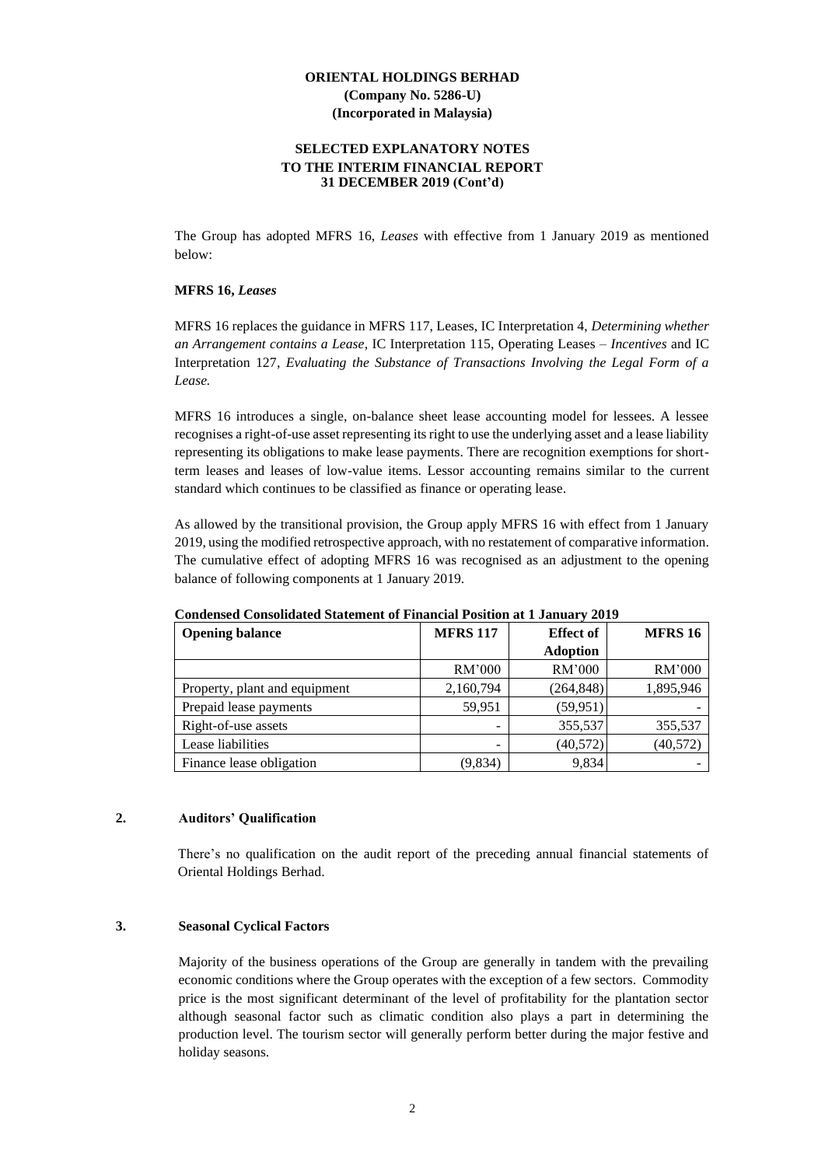#### **SELECTED EXPLANATORY NOTES TO THE INTERIM FINANCIAL REPORT 31 DECEMBER 2019 (Cont'd)**

The Group has adopted MFRS 16, *Leases* with effective from 1 January 2019 as mentioned below:

#### **MFRS 16,** *Leases*

MFRS 16 replaces the guidance in MFRS 117, Leases, IC Interpretation 4, *Determining whether an Arrangement contains a Lease*, IC Interpretation 115, Operating Leases *– Incentives* and IC Interpretation 127*, Evaluating the Substance of Transactions Involving the Legal Form of a Lease.*

MFRS 16 introduces a single, on-balance sheet lease accounting model for lessees. A lessee recognises a right-of-use asset representing its right to use the underlying asset and a lease liability representing its obligations to make lease payments. There are recognition exemptions for shortterm leases and leases of low-value items. Lessor accounting remains similar to the current standard which continues to be classified as finance or operating lease.

As allowed by the transitional provision, the Group apply MFRS 16 with effect from 1 January 2019, using the modified retrospective approach, with no restatement of comparative information. The cumulative effect of adopting MFRS 16 was recognised as an adjustment to the opening balance of following components at 1 January 2019.

| <b>Opening balance</b>        | <b>MFRS 117</b> | <b>Effect of</b> | <b>MFRS 16</b> |
|-------------------------------|-----------------|------------------|----------------|
|                               |                 | <b>Adoption</b>  |                |
|                               | RM'000          | RM'000           | RM'000         |
| Property, plant and equipment | 2,160,794       | (264, 848)       | 1,895,946      |
| Prepaid lease payments        | 59,951          | (59, 951)        |                |
| Right-of-use assets           |                 | 355,537          | 355,537        |
| Lease liabilities             | -               | (40, 572)        | (40, 572)      |
| Finance lease obligation      | (9,834)         | 9,834            |                |

**Condensed Consolidated Statement of Financial Position at 1 January 2019**

## **2. Auditors' Qualification**

There's no qualification on the audit report of the preceding annual financial statements of Oriental Holdings Berhad.

#### **3. Seasonal Cyclical Factors**

Majority of the business operations of the Group are generally in tandem with the prevailing economic conditions where the Group operates with the exception of a few sectors. Commodity price is the most significant determinant of the level of profitability for the plantation sector although seasonal factor such as climatic condition also plays a part in determining the production level. The tourism sector will generally perform better during the major festive and holiday seasons.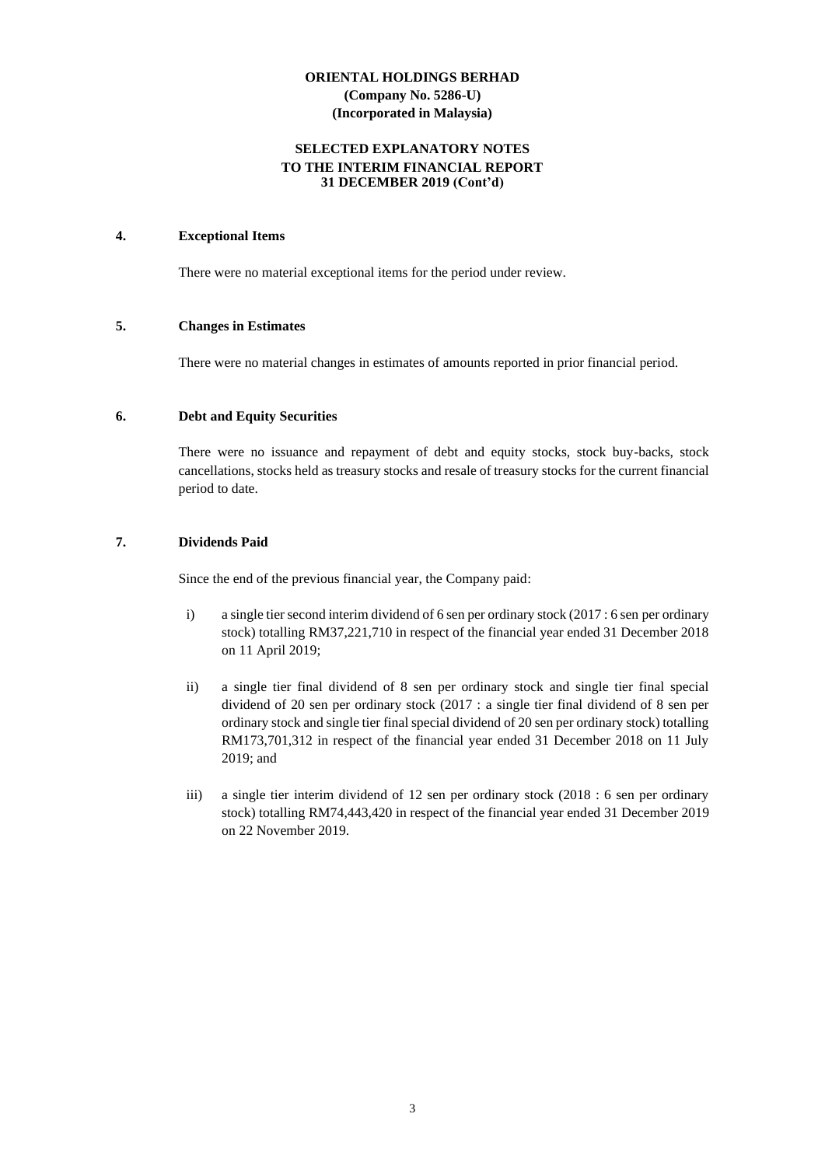## **SELECTED EXPLANATORY NOTES TO THE INTERIM FINANCIAL REPORT 31 DECEMBER 2019 (Cont'd)**

## **4. Exceptional Items**

There were no material exceptional items for the period under review.

#### **5. Changes in Estimates**

There were no material changes in estimates of amounts reported in prior financial period.

#### **6. Debt and Equity Securities**

There were no issuance and repayment of debt and equity stocks, stock buy-backs, stock cancellations, stocks held as treasury stocks and resale of treasury stocks for the current financial period to date.

## **7. Dividends Paid**

Since the end of the previous financial year, the Company paid:

- i) a single tier second interim dividend of 6 sen per ordinary stock (2017 : 6 sen per ordinary stock) totalling RM37,221,710 in respect of the financial year ended 31 December 2018 on 11 April 2019;
- ii) a single tier final dividend of 8 sen per ordinary stock and single tier final special dividend of 20 sen per ordinary stock (2017 : a single tier final dividend of 8 sen per ordinary stock and single tier final special dividend of 20 sen per ordinary stock) totalling RM173,701,312 in respect of the financial year ended 31 December 2018 on 11 July 2019; and
- iii) a single tier interim dividend of 12 sen per ordinary stock (2018 : 6 sen per ordinary stock) totalling RM74,443,420 in respect of the financial year ended 31 December 2019 on 22 November 2019.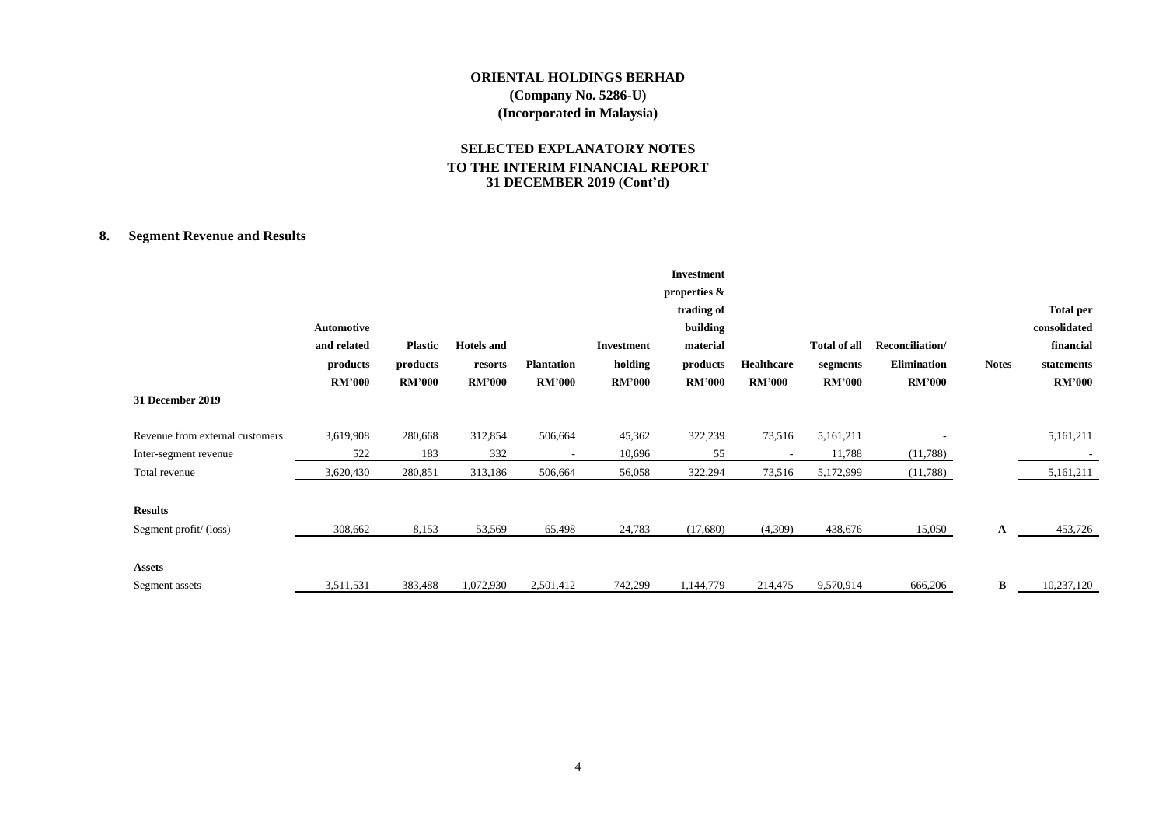# **SELECTED EXPLANATORY NOTES TO THE INTERIM FINANCIAL REPORT 31 DECEMBER 2019 (Cont'd)**

# **8. Segment Revenue and Results**

|                                                          | Automotive<br>and related<br>products<br><b>RM'000</b> | <b>Plastic</b><br>products<br><b>RM'000</b> | <b>Hotels</b> and<br>resorts<br><b>RM'000</b> | <b>Plantation</b><br><b>RM'000</b> | <b>Investment</b><br>holding<br><b>RM'000</b> | <b>Investment</b><br>properties &<br>trading of<br>building<br>material<br>products<br><b>RM'000</b> | <b>Healthcare</b><br><b>RM'000</b> | <b>Total of all</b><br>segments<br><b>RM'000</b> | Reconciliation/<br><b>Elimination</b><br><b>RM'000</b> | <b>Notes</b> | <b>Total per</b><br>consolidated<br>financial<br>statements<br><b>RM'000</b> |
|----------------------------------------------------------|--------------------------------------------------------|---------------------------------------------|-----------------------------------------------|------------------------------------|-----------------------------------------------|------------------------------------------------------------------------------------------------------|------------------------------------|--------------------------------------------------|--------------------------------------------------------|--------------|------------------------------------------------------------------------------|
| 31 December 2019                                         |                                                        |                                             |                                               |                                    |                                               |                                                                                                      |                                    |                                                  |                                                        |              |                                                                              |
| Revenue from external customers<br>Inter-segment revenue | 3,619,908<br>522                                       | 280,668<br>183                              | 312,854<br>332                                | 506,664                            | 45,362<br>10,696                              | 322,239<br>55                                                                                        | 73,516                             | 5,161,211<br>11,788                              | (11,788)                                               |              | 5,161,211                                                                    |
| Total revenue                                            | 3,620,430                                              | 280,851                                     | 313,186                                       | 506,664                            | 56,058                                        | 322,294                                                                                              | 73,516                             | 5,172,999                                        | (11,788)                                               |              | 5,161,211                                                                    |
| <b>Results</b><br>Segment profit/(loss)                  | 308,662                                                | 8,153                                       | 53,569                                        | 65,498                             | 24,783                                        | (17,680)                                                                                             | (4,309)                            | 438,676                                          | 15,050                                                 | A            | 453,726                                                                      |
| <b>Assets</b><br>Segment assets                          | 3,511,531                                              | 383,488                                     | 1,072,930                                     | 2,501,412                          | 742,299                                       | 1,144,779                                                                                            | 214,475                            | 9,570,914                                        | 666,206                                                | В            | 10,237,120                                                                   |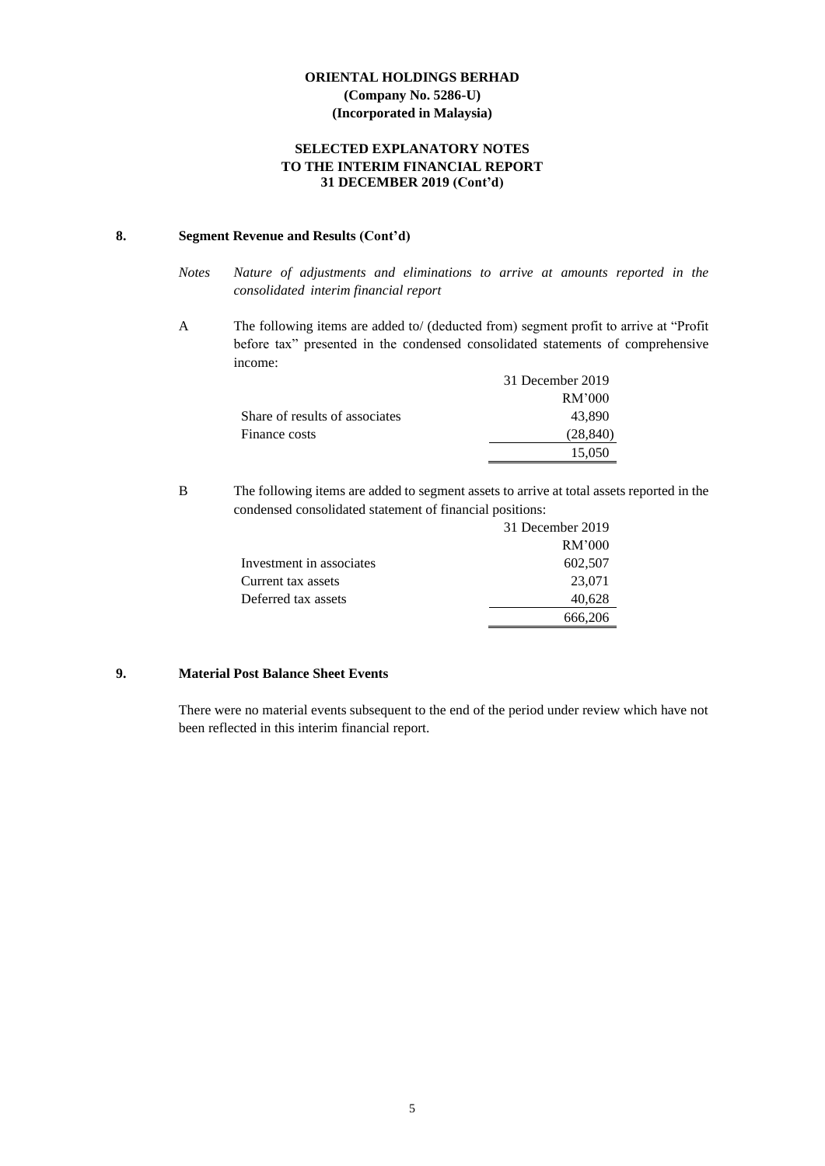## **SELECTED EXPLANATORY NOTES TO THE INTERIM FINANCIAL REPORT 31 DECEMBER 2019 (Cont'd)**

## **8. Segment Revenue and Results (Cont'd)**

- *Notes Nature of adjustments and eliminations to arrive at amounts reported in the consolidated interim financial report*
- A The following items are added to/ (deducted from) segment profit to arrive at "Profit before tax" presented in the condensed consolidated statements of comprehensive income:

|                                | 31 December 2019 |
|--------------------------------|------------------|
|                                | RM'000           |
| Share of results of associates | 43.890           |
| Finance costs                  | (28, 840)        |
|                                | 15.050           |

B The following items are added to segment assets to arrive at total assets reported in the condensed consolidated statement of financial positions:

|                          | 31 December 2019 |
|--------------------------|------------------|
|                          | RM'000           |
| Investment in associates | 602,507          |
| Current tax assets       | 23,071           |
| Deferred tax assets      | 40,628           |
|                          | 666,206          |

# **9. Material Post Balance Sheet Events**

There were no material events subsequent to the end of the period under review which have not been reflected in this interim financial report.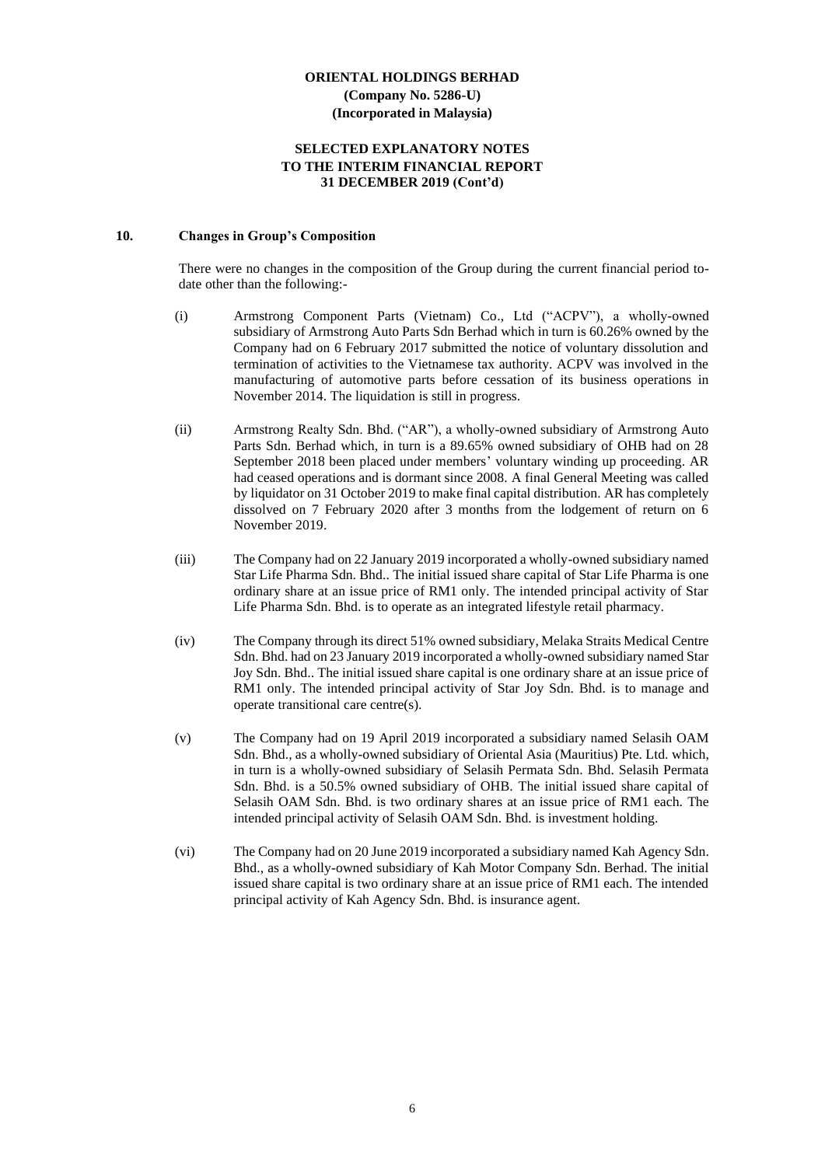#### **SELECTED EXPLANATORY NOTES TO THE INTERIM FINANCIAL REPORT 31 DECEMBER 2019 (Cont'd)**

#### **10. Changes in Group's Composition**

There were no changes in the composition of the Group during the current financial period todate other than the following:-

- (i) Armstrong Component Parts (Vietnam) Co., Ltd ("ACPV"), a wholly-owned subsidiary of Armstrong Auto Parts Sdn Berhad which in turn is 60.26% owned by the Company had on 6 February 2017 submitted the notice of voluntary dissolution and termination of activities to the Vietnamese tax authority. ACPV was involved in the manufacturing of automotive parts before cessation of its business operations in November 2014. The liquidation is still in progress.
- (ii) Armstrong Realty Sdn. Bhd. ("AR"), a wholly-owned subsidiary of Armstrong Auto Parts Sdn. Berhad which, in turn is a 89.65% owned subsidiary of OHB had on 28 September 2018 been placed under members' voluntary winding up proceeding. AR had ceased operations and is dormant since 2008. A final General Meeting was called by liquidator on 31 October 2019 to make final capital distribution. AR has completely dissolved on 7 February 2020 after 3 months from the lodgement of return on 6 November 2019.
- (iii) The Company had on 22 January 2019 incorporated a wholly-owned subsidiary named Star Life Pharma Sdn. Bhd.. The initial issued share capital of Star Life Pharma is one ordinary share at an issue price of RM1 only. The intended principal activity of Star Life Pharma Sdn. Bhd. is to operate as an integrated lifestyle retail pharmacy.
- (iv) The Company through its direct 51% owned subsidiary, Melaka Straits Medical Centre Sdn. Bhd. had on 23 January 2019 incorporated a wholly-owned subsidiary named Star Joy Sdn. Bhd.. The initial issued share capital is one ordinary share at an issue price of RM1 only. The intended principal activity of Star Joy Sdn. Bhd. is to manage and operate transitional care centre(s).
- (v) The Company had on 19 April 2019 incorporated a subsidiary named Selasih OAM Sdn. Bhd., as a wholly-owned subsidiary of Oriental Asia (Mauritius) Pte. Ltd. which, in turn is a wholly-owned subsidiary of Selasih Permata Sdn. Bhd. Selasih Permata Sdn. Bhd. is a 50.5% owned subsidiary of OHB. The initial issued share capital of Selasih OAM Sdn. Bhd. is two ordinary shares at an issue price of RM1 each. The intended principal activity of Selasih OAM Sdn. Bhd. is investment holding.
- (vi) The Company had on 20 June 2019 incorporated a subsidiary named Kah Agency Sdn. Bhd., as a wholly-owned subsidiary of Kah Motor Company Sdn. Berhad. The initial issued share capital is two ordinary share at an issue price of RM1 each. The intended principal activity of Kah Agency Sdn. Bhd. is insurance agent.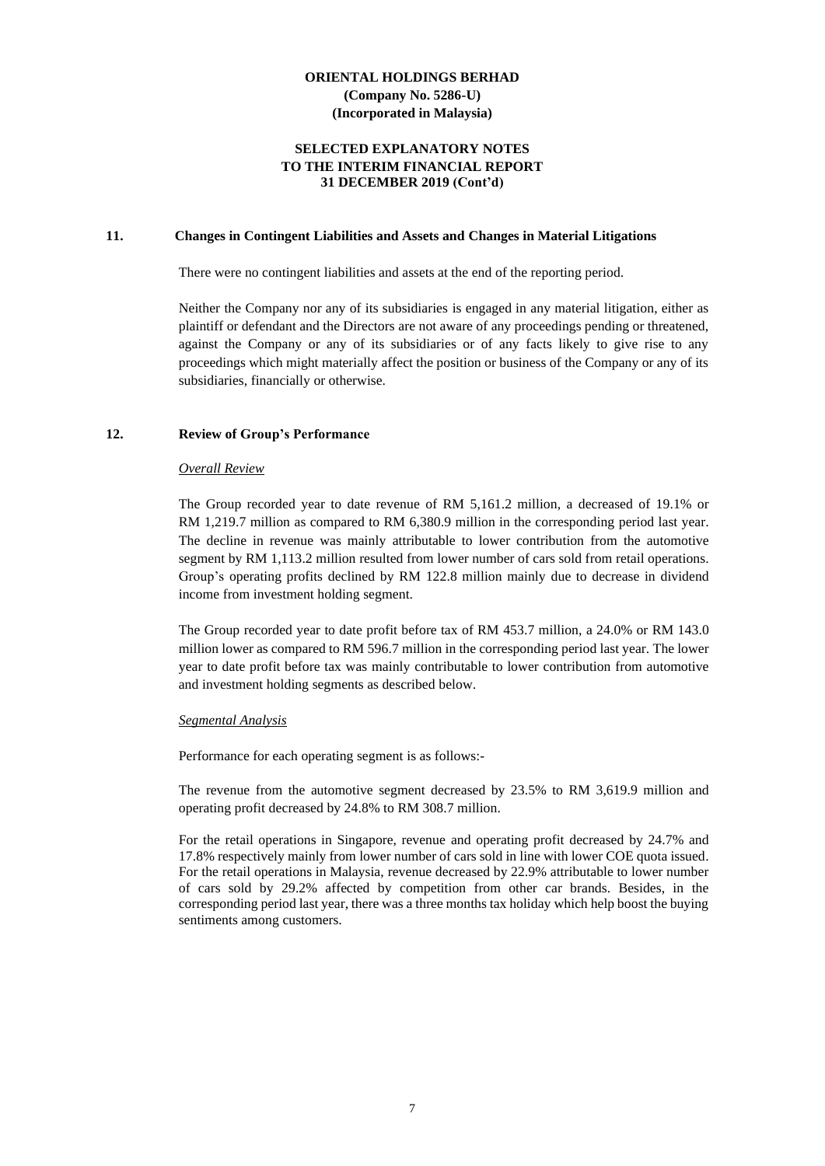### **SELECTED EXPLANATORY NOTES TO THE INTERIM FINANCIAL REPORT 31 DECEMBER 2019 (Cont'd)**

#### **11. Changes in Contingent Liabilities and Assets and Changes in Material Litigations**

There were no contingent liabilities and assets at the end of the reporting period.

Neither the Company nor any of its subsidiaries is engaged in any material litigation, either as plaintiff or defendant and the Directors are not aware of any proceedings pending or threatened, against the Company or any of its subsidiaries or of any facts likely to give rise to any proceedings which might materially affect the position or business of the Company or any of its subsidiaries, financially or otherwise.

#### **12. Review of Group's Performance**

#### *Overall Review*

The Group recorded year to date revenue of RM 5,161.2 million, a decreased of 19.1% or RM 1,219.7 million as compared to RM 6,380.9 million in the corresponding period last year. The decline in revenue was mainly attributable to lower contribution from the automotive segment by RM 1,113.2 million resulted from lower number of cars sold from retail operations. Group's operating profits declined by RM 122.8 million mainly due to decrease in dividend income from investment holding segment.

The Group recorded year to date profit before tax of RM 453.7 million, a 24.0% or RM 143.0 million lower as compared to RM 596.7 million in the corresponding period last year. The lower year to date profit before tax was mainly contributable to lower contribution from automotive and investment holding segments as described below.

#### *Segmental Analysis*

Performance for each operating segment is as follows:-

The revenue from the automotive segment decreased by 23.5% to RM 3,619.9 million and operating profit decreased by 24.8% to RM 308.7 million.

For the retail operations in Singapore, revenue and operating profit decreased by 24.7% and 17.8% respectively mainly from lower number of cars sold in line with lower COE quota issued. For the retail operations in Malaysia, revenue decreased by 22.9% attributable to lower number of cars sold by 29.2% affected by competition from other car brands. Besides, in the corresponding period last year, there was a three months tax holiday which help boost the buying sentiments among customers.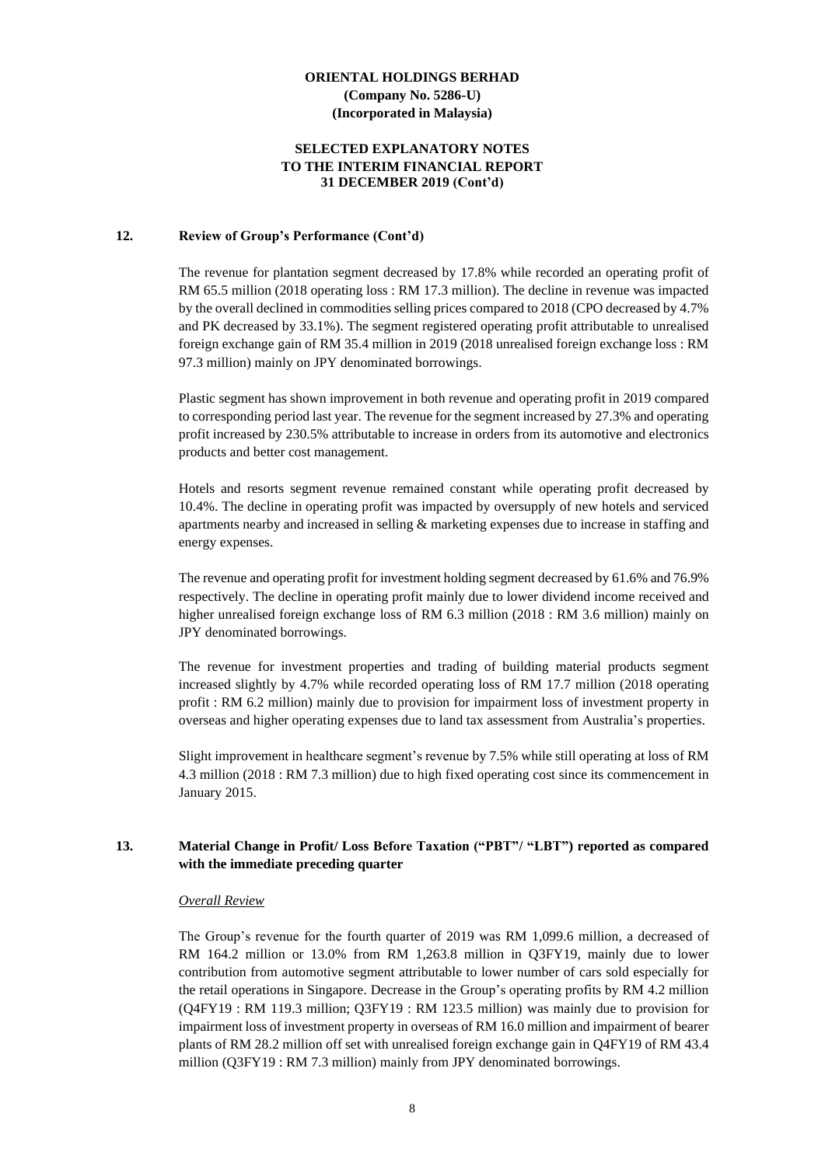### **SELECTED EXPLANATORY NOTES TO THE INTERIM FINANCIAL REPORT 31 DECEMBER 2019 (Cont'd)**

#### **12. Review of Group's Performance (Cont'd)**

The revenue for plantation segment decreased by 17.8% while recorded an operating profit of RM 65.5 million (2018 operating loss : RM 17.3 million). The decline in revenue was impacted by the overall declined in commodities selling prices compared to 2018 (CPO decreased by 4.7% and PK decreased by 33.1%). The segment registered operating profit attributable to unrealised foreign exchange gain of RM 35.4 million in 2019 (2018 unrealised foreign exchange loss : RM 97.3 million) mainly on JPY denominated borrowings.

Plastic segment has shown improvement in both revenue and operating profit in 2019 compared to corresponding period last year. The revenue for the segment increased by 27.3% and operating profit increased by 230.5% attributable to increase in orders from its automotive and electronics products and better cost management.

Hotels and resorts segment revenue remained constant while operating profit decreased by 10.4%. The decline in operating profit was impacted by oversupply of new hotels and serviced apartments nearby and increased in selling & marketing expenses due to increase in staffing and energy expenses.

The revenue and operating profit for investment holding segment decreased by 61.6% and 76.9% respectively. The decline in operating profit mainly due to lower dividend income received and higher unrealised foreign exchange loss of RM 6.3 million (2018 : RM 3.6 million) mainly on JPY denominated borrowings.

The revenue for investment properties and trading of building material products segment increased slightly by 4.7% while recorded operating loss of RM 17.7 million (2018 operating profit : RM 6.2 million) mainly due to provision for impairment loss of investment property in overseas and higher operating expenses due to land tax assessment from Australia's properties.

Slight improvement in healthcare segment's revenue by 7.5% while still operating at loss of RM 4.3 million (2018 : RM 7.3 million) due to high fixed operating cost since its commencement in January 2015.

## **13. Material Change in Profit/ Loss Before Taxation ("PBT"/ "LBT") reported as compared with the immediate preceding quarter**

#### *Overall Review*

The Group's revenue for the fourth quarter of 2019 was RM 1,099.6 million, a decreased of RM 164.2 million or 13.0% from RM 1,263.8 million in Q3FY19, mainly due to lower contribution from automotive segment attributable to lower number of cars sold especially for the retail operations in Singapore. Decrease in the Group's operating profits by RM 4.2 million (Q4FY19 : RM 119.3 million; Q3FY19 : RM 123.5 million) was mainly due to provision for impairment loss of investment property in overseas of RM 16.0 million and impairment of bearer plants of RM 28.2 million off set with unrealised foreign exchange gain in Q4FY19 of RM 43.4 million (Q3FY19 : RM 7.3 million) mainly from JPY denominated borrowings.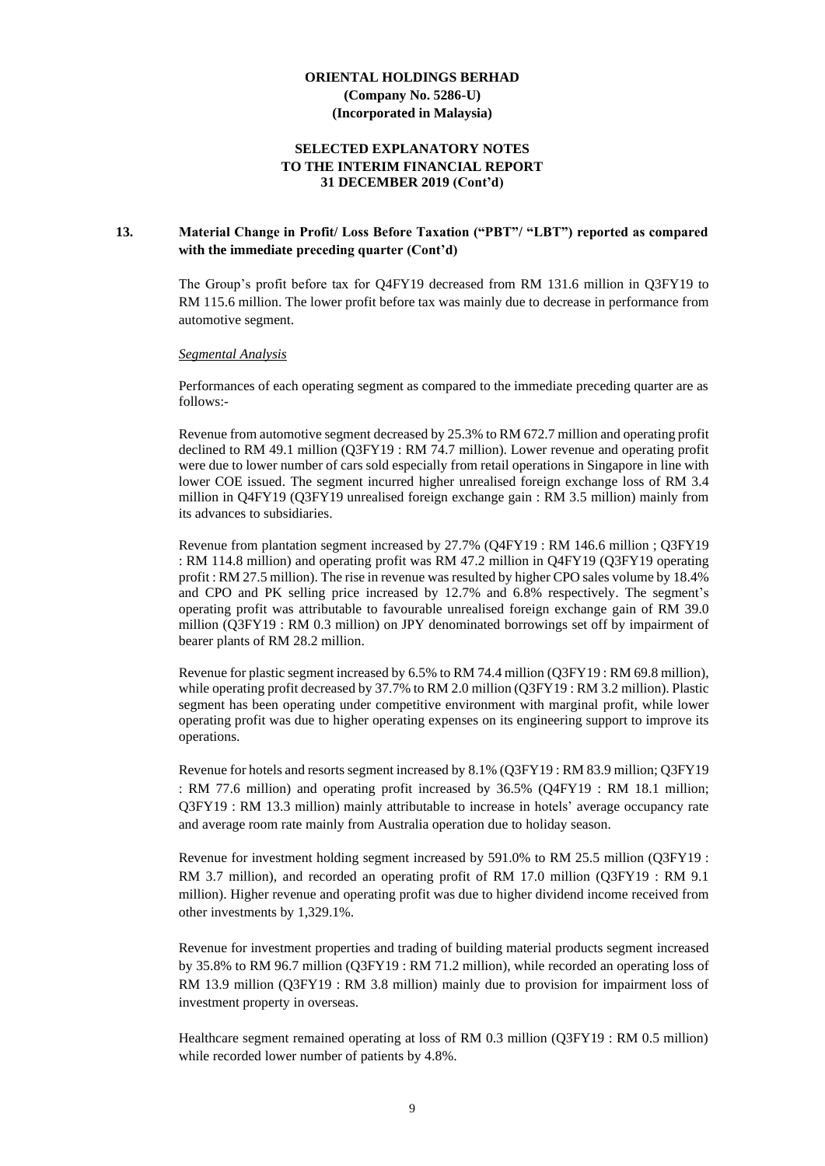### **SELECTED EXPLANATORY NOTES TO THE INTERIM FINANCIAL REPORT 31 DECEMBER 2019 (Cont'd)**

#### **13. Material Change in Profit/ Loss Before Taxation ("PBT"/ "LBT") reported as compared with the immediate preceding quarter (Cont'd)**

The Group's profit before tax for Q4FY19 decreased from RM 131.6 million in Q3FY19 to RM 115.6 million. The lower profit before tax was mainly due to decrease in performance from automotive segment.

#### *Segmental Analysis*

Performances of each operating segment as compared to the immediate preceding quarter are as follows:-

Revenue from automotive segment decreased by 25.3% to RM 672.7 million and operating profit declined to RM 49.1 million (Q3FY19 : RM 74.7 million). Lower revenue and operating profit were due to lower number of cars sold especially from retail operations in Singapore in line with lower COE issued. The segment incurred higher unrealised foreign exchange loss of RM 3.4 million in Q4FY19 (Q3FY19 unrealised foreign exchange gain : RM 3.5 million) mainly from its advances to subsidiaries.

Revenue from plantation segment increased by 27.7% (Q4FY19 : RM 146.6 million ; Q3FY19 : RM 114.8 million) and operating profit was RM 47.2 million in Q4FY19 (Q3FY19 operating profit : RM 27.5 million). The rise in revenue was resulted by higher CPO sales volume by 18.4% and CPO and PK selling price increased by 12.7% and 6.8% respectively. The segment's operating profit was attributable to favourable unrealised foreign exchange gain of RM 39.0 million (Q3FY19 : RM 0.3 million) on JPY denominated borrowings set off by impairment of bearer plants of RM 28.2 million.

Revenue for plastic segment increased by 6.5% to RM 74.4 million (Q3FY19 : RM 69.8 million), while operating profit decreased by 37.7% to RM 2.0 million (Q3FY19: RM 3.2 million). Plastic segment has been operating under competitive environment with marginal profit, while lower operating profit was due to higher operating expenses on its engineering support to improve its operations.

Revenue for hotels and resorts segment increased by 8.1% (Q3FY19 : RM 83.9 million; Q3FY19 : RM 77.6 million) and operating profit increased by 36.5% (Q4FY19 : RM 18.1 million; Q3FY19 : RM 13.3 million) mainly attributable to increase in hotels' average occupancy rate and average room rate mainly from Australia operation due to holiday season.

Revenue for investment holding segment increased by 591.0% to RM 25.5 million (Q3FY19 : RM 3.7 million), and recorded an operating profit of RM 17.0 million (Q3FY19 : RM 9.1 million). Higher revenue and operating profit was due to higher dividend income received from other investments by 1,329.1%.

Revenue for investment properties and trading of building material products segment increased by 35.8% to RM 96.7 million (Q3FY19 : RM 71.2 million), while recorded an operating loss of RM 13.9 million (Q3FY19 : RM 3.8 million) mainly due to provision for impairment loss of investment property in overseas.

Healthcare segment remained operating at loss of RM 0.3 million (Q3FY19 : RM 0.5 million) while recorded lower number of patients by 4.8%.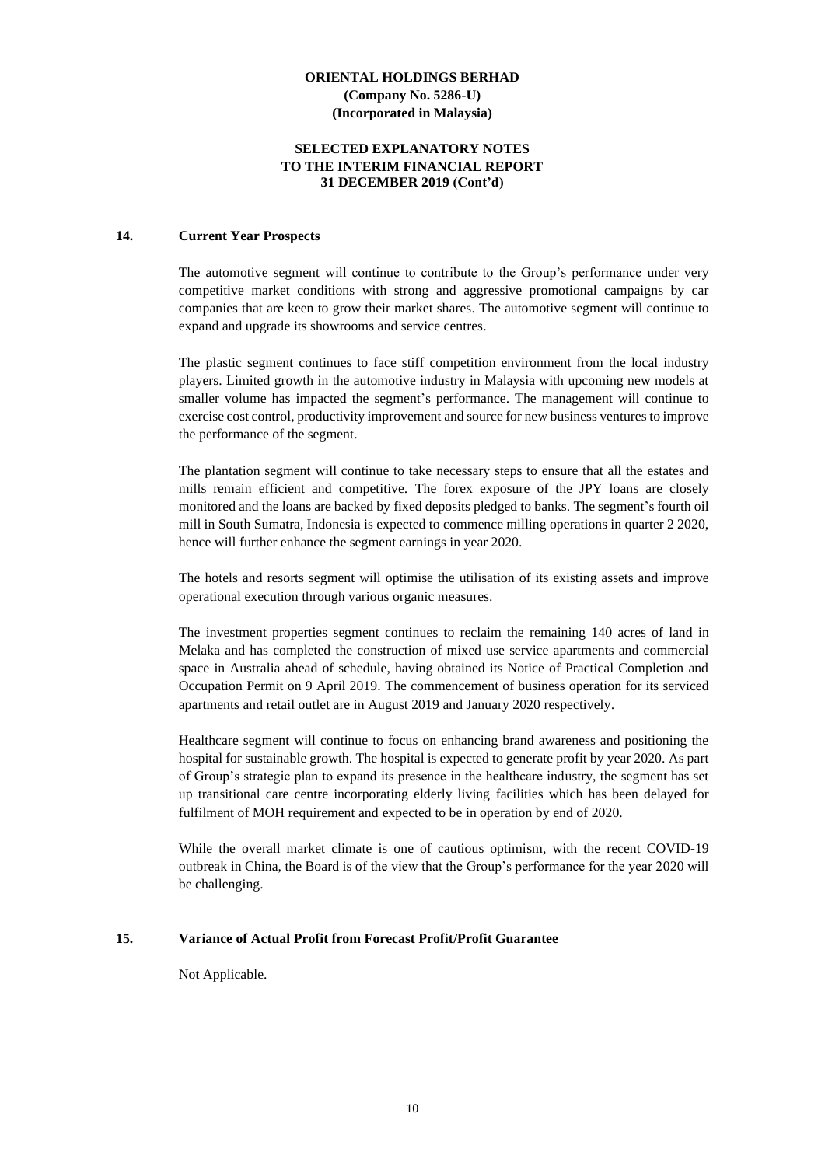### **SELECTED EXPLANATORY NOTES TO THE INTERIM FINANCIAL REPORT 31 DECEMBER 2019 (Cont'd)**

#### **14. Current Year Prospects**

The automotive segment will continue to contribute to the Group's performance under very competitive market conditions with strong and aggressive promotional campaigns by car companies that are keen to grow their market shares. The automotive segment will continue to expand and upgrade its showrooms and service centres.

The plastic segment continues to face stiff competition environment from the local industry players. Limited growth in the automotive industry in Malaysia with upcoming new models at smaller volume has impacted the segment's performance. The management will continue to exercise cost control, productivity improvement and source for new business ventures to improve the performance of the segment.

The plantation segment will continue to take necessary steps to ensure that all the estates and mills remain efficient and competitive. The forex exposure of the JPY loans are closely monitored and the loans are backed by fixed deposits pledged to banks. The segment's fourth oil mill in South Sumatra, Indonesia is expected to commence milling operations in quarter 2 2020, hence will further enhance the segment earnings in year 2020.

The hotels and resorts segment will optimise the utilisation of its existing assets and improve operational execution through various organic measures.

The investment properties segment continues to reclaim the remaining 140 acres of land in Melaka and has completed the construction of mixed use service apartments and commercial space in Australia ahead of schedule, having obtained its Notice of Practical Completion and Occupation Permit on 9 April 2019. The commencement of business operation for its serviced apartments and retail outlet are in August 2019 and January 2020 respectively.

Healthcare segment will continue to focus on enhancing brand awareness and positioning the hospital for sustainable growth. The hospital is expected to generate profit by year 2020. As part of Group's strategic plan to expand its presence in the healthcare industry, the segment has set up transitional care centre incorporating elderly living facilities which has been delayed for fulfilment of MOH requirement and expected to be in operation by end of 2020.

While the overall market climate is one of cautious optimism, with the recent COVID-19 outbreak in China, the Board is of the view that the Group's performance for the year 2020 will be challenging.

#### **15. Variance of Actual Profit from Forecast Profit/Profit Guarantee**

Not Applicable.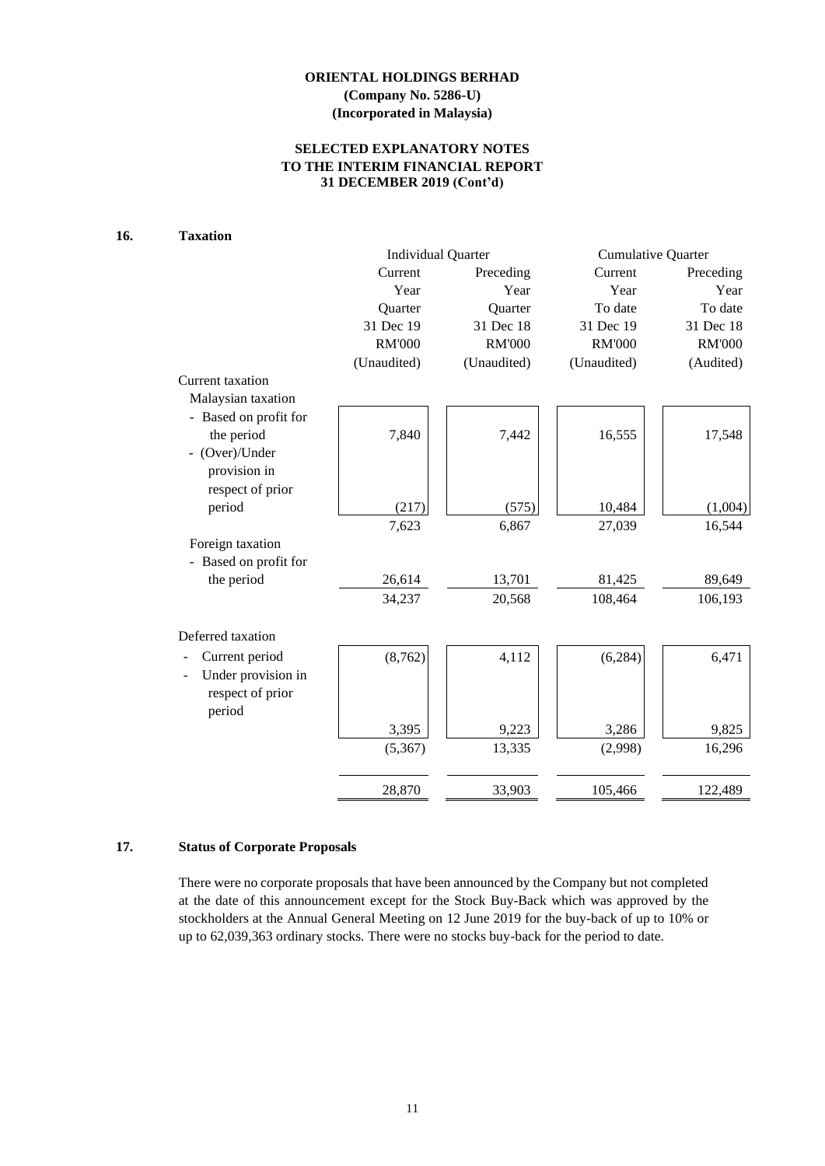## **SELECTED EXPLANATORY NOTES TO THE INTERIM FINANCIAL REPORT 31 DECEMBER 2019 (Cont'd)**

# **16. Taxation**

|                                                  | <b>Individual Quarter</b> |               | <b>Cumulative Quarter</b> |               |  |
|--------------------------------------------------|---------------------------|---------------|---------------------------|---------------|--|
|                                                  | Current                   | Preceding     | Current                   | Preceding     |  |
|                                                  | Year                      | Year          | Year                      | Year          |  |
|                                                  | Quarter                   | Quarter       | To date                   | To date       |  |
|                                                  | 31 Dec 19                 | 31 Dec 18     | 31 Dec 19                 | 31 Dec 18     |  |
|                                                  | <b>RM'000</b>             | <b>RM'000</b> | <b>RM'000</b>             | <b>RM'000</b> |  |
|                                                  | (Unaudited)               | (Unaudited)   | (Unaudited)               | (Audited)     |  |
| Current taxation                                 |                           |               |                           |               |  |
| Malaysian taxation                               |                           |               |                           |               |  |
| - Based on profit for                            |                           |               |                           |               |  |
| the period                                       | 7,840                     | 7,442         | 16,555                    | 17,548        |  |
| - (Over)/Under                                   |                           |               |                           |               |  |
| provision in                                     |                           |               |                           |               |  |
| respect of prior                                 |                           |               |                           |               |  |
| period                                           | (217)                     | (575)         | 10,484                    | (1,004)       |  |
|                                                  | 7,623                     | 6,867         | 27,039                    | 16,544        |  |
| Foreign taxation                                 |                           |               |                           |               |  |
| - Based on profit for                            |                           |               |                           |               |  |
| the period                                       | 26,614                    | 13,701        | 81,425                    | 89,649        |  |
|                                                  | 34,237                    | 20,568        | 108,464                   | 106,193       |  |
| Deferred taxation                                |                           |               |                           |               |  |
| Current period                                   | (8, 762)                  | 4,112         | (6, 284)                  | 6,471         |  |
| Under provision in<br>respect of prior<br>period |                           |               |                           |               |  |
|                                                  | 3,395                     | 9,223         | 3,286                     | 9,825         |  |
|                                                  | (5,367)                   | 13,335        | (2,998)                   | 16,296        |  |
|                                                  | 28,870                    | 33,903        | 105,466                   | 122,489       |  |

# **17. Status of Corporate Proposals**

There were no corporate proposals that have been announced by the Company but not completed at the date of this announcement except for the Stock Buy-Back which was approved by the stockholders at the Annual General Meeting on 12 June 2019 for the buy-back of up to 10% or up to 62,039,363 ordinary stocks. There were no stocks buy-back for the period to date.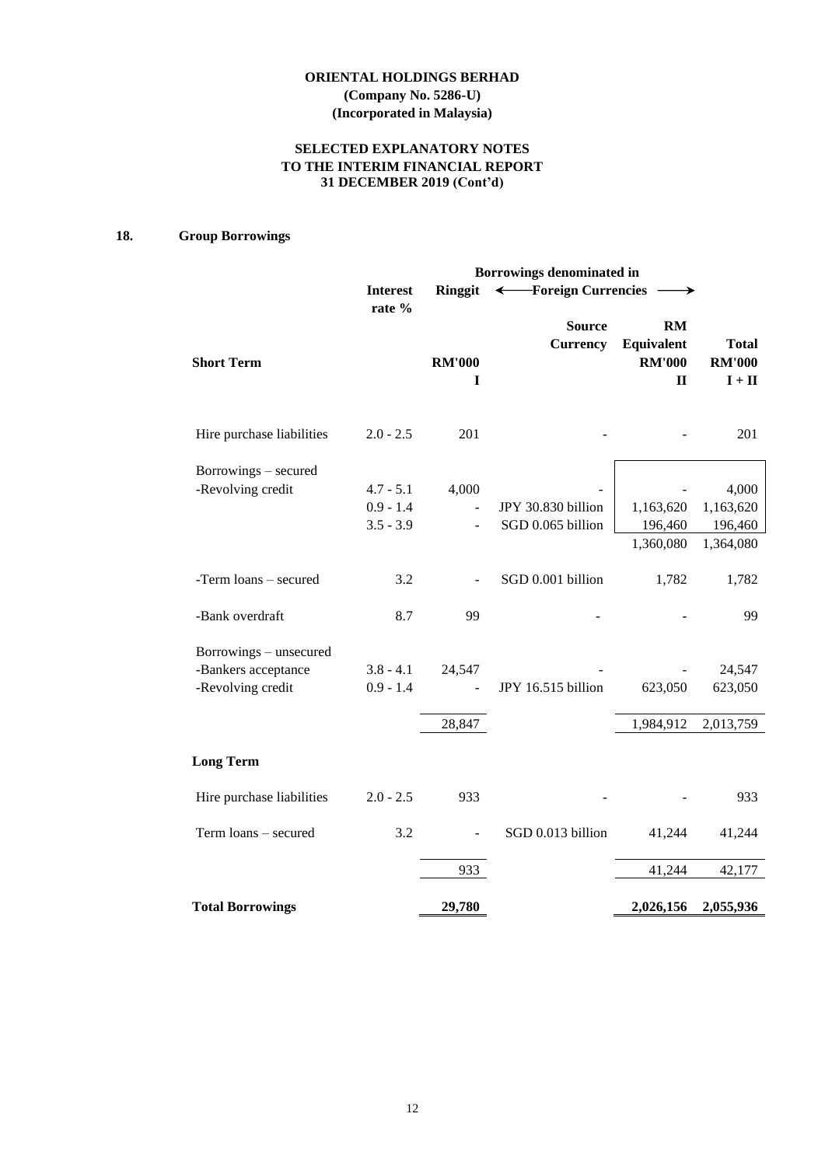## **SELECTED EXPLANATORY NOTES TO THE INTERIM FINANCIAL REPORT 31 DECEMBER 2019 (Cont'd)**

# **18. Group Borrowings**

|                                                                    |                                           |                         | Borrowings denominated in               |                                                          |                                                           |
|--------------------------------------------------------------------|-------------------------------------------|-------------------------|-----------------------------------------|----------------------------------------------------------|-----------------------------------------------------------|
|                                                                    | <b>Interest</b>                           | <b>Ringgit</b>          | ← Foreign Currencies                    |                                                          |                                                           |
| <b>Short Term</b>                                                  | rate %                                    | <b>RM'000</b><br>I      | <b>Source</b><br><b>Currency</b>        | <b>RM</b><br>Equivalent<br><b>RM'000</b><br>$\mathbf{I}$ | <b>Total</b><br><b>RM'000</b><br>$\mathbf{I}+\mathbf{II}$ |
| Hire purchase liabilities                                          | $2.0 - 2.5$                               | 201                     |                                         |                                                          | 201                                                       |
| Borrowings – secured<br>-Revolving credit                          | $4.7 - 5.1$<br>$0.9 - 1.4$<br>$3.5 - 3.9$ | 4,000<br>$\overline{a}$ | JPY 30.830 billion<br>SGD 0.065 billion | 1,163,620<br>196,460<br>1,360,080                        | 4,000<br>1,163,620<br>196,460<br>1,364,080                |
| -Term loans - secured                                              | 3.2                                       |                         | SGD 0.001 billion                       | 1,782                                                    | 1,782                                                     |
| -Bank overdraft                                                    | 8.7                                       | 99                      |                                         |                                                          | 99                                                        |
| Borrowings - unsecured<br>-Bankers acceptance<br>-Revolving credit | $3.8 - 4.1$<br>$0.9 - 1.4$                | 24,547                  | JPY 16.515 billion                      | 623,050                                                  | 24,547<br>623,050                                         |
|                                                                    |                                           | 28,847                  |                                         | 1,984,912                                                | 2,013,759                                                 |
| <b>Long Term</b>                                                   |                                           |                         |                                         |                                                          |                                                           |
| Hire purchase liabilities                                          | $2.0 - 2.5$                               | 933                     |                                         |                                                          | 933                                                       |
| Term loans - secured                                               | 3.2                                       |                         | SGD 0.013 billion                       | 41,244                                                   | 41,244                                                    |
|                                                                    |                                           | 933                     |                                         | 41,244                                                   | 42,177                                                    |
| <b>Total Borrowings</b>                                            |                                           | 29,780                  |                                         | 2,026,156                                                | 2,055,936                                                 |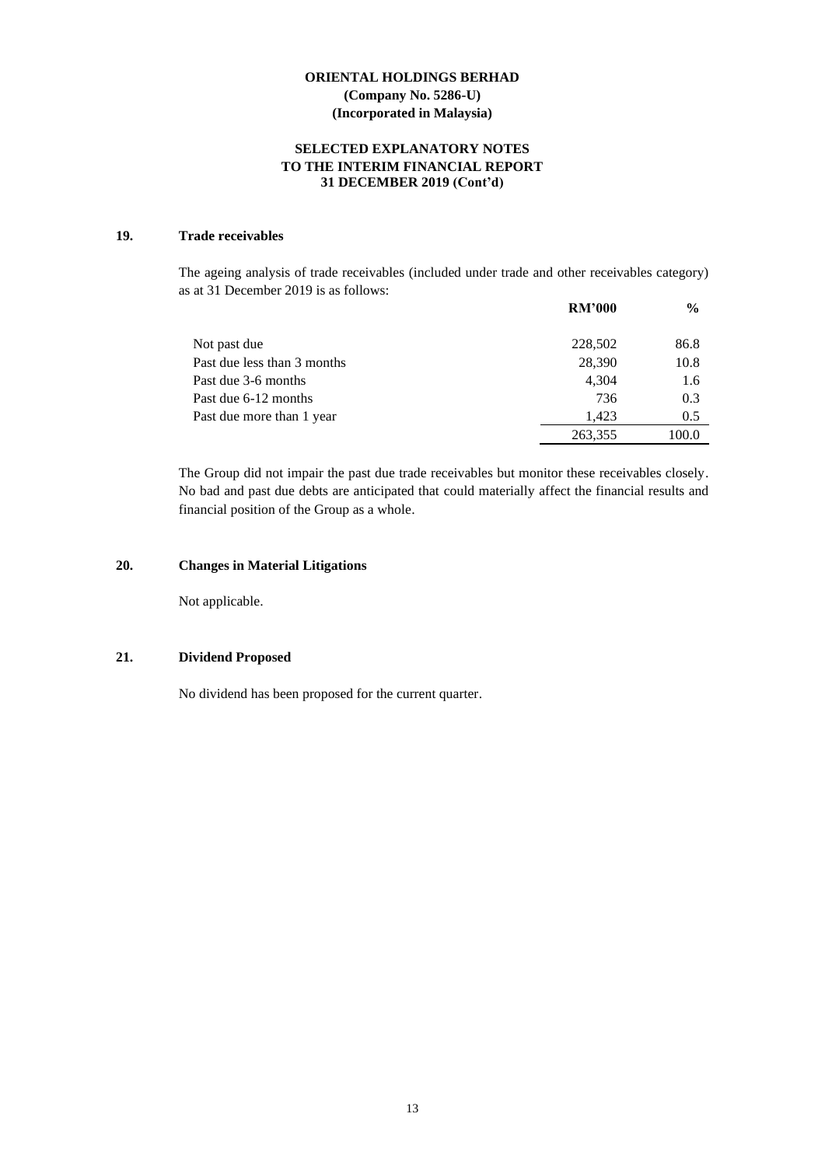## **SELECTED EXPLANATORY NOTES TO THE INTERIM FINANCIAL REPORT 31 DECEMBER 2019 (Cont'd)**

## **19. Trade receivables**

The ageing analysis of trade receivables (included under trade and other receivables category) as at 31 December 2019 is as follows:

|                             | <b>RM'000</b> | $\frac{6}{9}$ |
|-----------------------------|---------------|---------------|
| Not past due                | 228,502       | 86.8          |
| Past due less than 3 months | 28,390        | 10.8          |
| Past due 3-6 months         | 4,304         | 1.6           |
| Past due 6-12 months        | 736           | 0.3           |
| Past due more than 1 year   | 1.423         | 0.5           |
|                             | 263,355       | 100.0         |

The Group did not impair the past due trade receivables but monitor these receivables closely. No bad and past due debts are anticipated that could materially affect the financial results and financial position of the Group as a whole.

## **20. Changes in Material Litigations**

Not applicable.

#### **21. Dividend Proposed**

No dividend has been proposed for the current quarter.